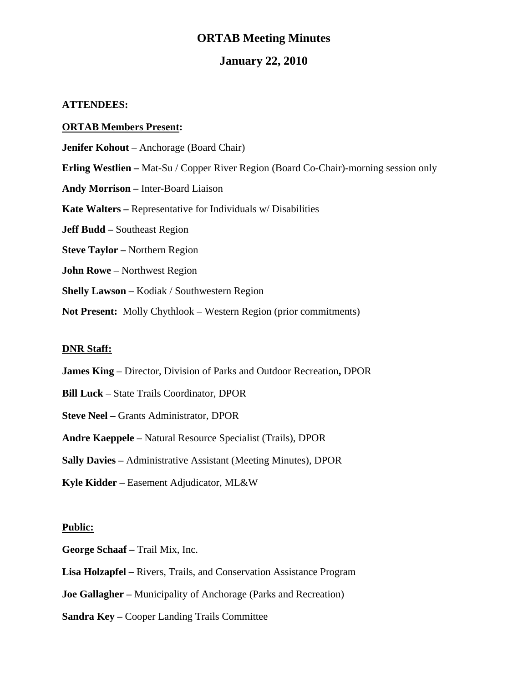#### **ORTAB Meeting Minutes**

#### **January 22, 2010**

#### **ATTENDEES:**

#### **ORTAB Members Present:**

**Jenifer Kohout** – Anchorage (Board Chair)

**Erling Westlien –** Mat-Su / Copper River Region (Board Co-Chair)-morning session only

**Andy Morrison –** Inter-Board Liaison

**Kate Walters –** Representative for Individuals w/ Disabilities

**Jeff Budd –** Southeast Region

**Steve Taylor –** Northern Region

**John Rowe** – Northwest Region

**Shelly Lawson** – Kodiak / Southwestern Region

**Not Present:** Molly Chythlook – Western Region (prior commitments)

#### **DNR Staff:**

- **James King** Director, Division of Parks and Outdoor Recreation**,** DPOR
- **Bill Luck**  State Trails Coordinator, DPOR
- **Steve Neel** Grants Administrator, DPOR
- **Andre Kaeppele** Natural Resource Specialist (Trails), DPOR
- **Sally Davies** Administrative Assistant (Meeting Minutes), DPOR
- **Kyle Kidder** Easement Adjudicator, ML&W

#### **Public:**

**George Schaaf –** Trail Mix, Inc.

**Lisa Holzapfel –** Rivers, Trails, and Conservation Assistance Program

**Joe Gallagher –** Municipality of Anchorage (Parks and Recreation)

**Sandra Key –** Cooper Landing Trails Committee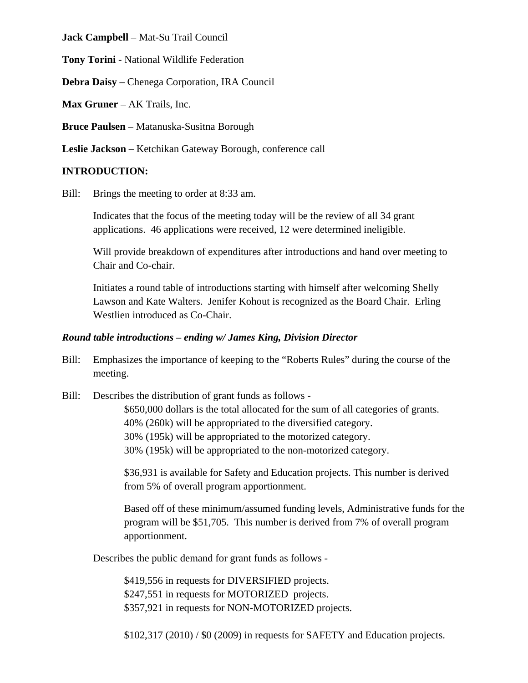**Jack Campbell** – Mat-Su Trail Council

**Tony Torini** - National Wildlife Federation

**Debra Daisy** – Chenega Corporation, IRA Council

**Max Gruner** – AK Trails, Inc.

**Bruce Paulsen** – Matanuska-Susitna Borough

**Leslie Jackson** – Ketchikan Gateway Borough, conference call

### **INTRODUCTION:**

Bill: Brings the meeting to order at 8:33 am.

Indicates that the focus of the meeting today will be the review of all 34 grant applications. 46 applications were received, 12 were determined ineligible.

Will provide breakdown of expenditures after introductions and hand over meeting to Chair and Co-chair.

Initiates a round table of introductions starting with himself after welcoming Shelly Lawson and Kate Walters. Jenifer Kohout is recognized as the Board Chair. Erling Westlien introduced as Co-Chair.

#### *Round table introductions – ending w/ James King, Division Director*

Bill: Emphasizes the importance of keeping to the "Roberts Rules" during the course of the meeting.

Bill: Describes the distribution of grant funds as follows -

 \$650,000 dollars is the total allocated for the sum of all categories of grants. 40% (260k) will be appropriated to the diversified category. 30% (195k) will be appropriated to the motorized category. 30% (195k) will be appropriated to the non-motorized category.

\$36,931 is available for Safety and Education projects. This number is derived from 5% of overall program apportionment.

Based off of these minimum/assumed funding levels, Administrative funds for the program will be \$51,705. This number is derived from 7% of overall program apportionment.

Describes the public demand for grant funds as follows -

\$419,556 in requests for DIVERSIFIED projects. \$247,551 in requests for MOTORIZED projects. \$357,921 in requests for NON-MOTORIZED projects.

\$102,317 (2010) / \$0 (2009) in requests for SAFETY and Education projects.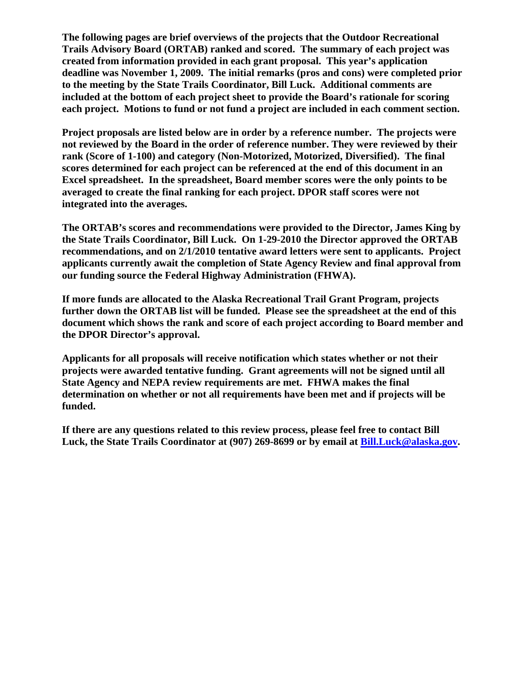**The following pages are brief overviews of the projects that the Outdoor Recreational Trails Advisory Board (ORTAB) ranked and scored. The summary of each project was created from information provided in each grant proposal. This year's application deadline was November 1, 2009. The initial remarks (pros and cons) were completed prior to the meeting by the State Trails Coordinator, Bill Luck. Additional comments are included at the bottom of each project sheet to provide the Board's rationale for scoring each project. Motions to fund or not fund a project are included in each comment section.** 

**Project proposals are listed below are in order by a reference number. The projects were not reviewed by the Board in the order of reference number. They were reviewed by their rank (Score of 1-100) and category (Non-Motorized, Motorized, Diversified). The final scores determined for each project can be referenced at the end of this document in an Excel spreadsheet. In the spreadsheet, Board member scores were the only points to be averaged to create the final ranking for each project. DPOR staff scores were not integrated into the averages.** 

**The ORTAB's scores and recommendations were provided to the Director, James King by the State Trails Coordinator, Bill Luck. On 1-29-2010 the Director approved the ORTAB recommendations, and on 2/1/2010 tentative award letters were sent to applicants. Project applicants currently await the completion of State Agency Review and final approval from our funding source the Federal Highway Administration (FHWA).** 

**If more funds are allocated to the Alaska Recreational Trail Grant Program, projects further down the ORTAB list will be funded. Please see the spreadsheet at the end of this document which shows the rank and score of each project according to Board member and the DPOR Director's approval.** 

**Applicants for all proposals will receive notification which states whether or not their projects were awarded tentative funding. Grant agreements will not be signed until all State Agency and NEPA review requirements are met. FHWA makes the final determination on whether or not all requirements have been met and if projects will be funded.** 

**If there are any questions related to this review process, please feel free to contact Bill**  Luck, the State Trails Coordinator at (907) 269-8699 or by email at Bill.Luck@alaska.gov.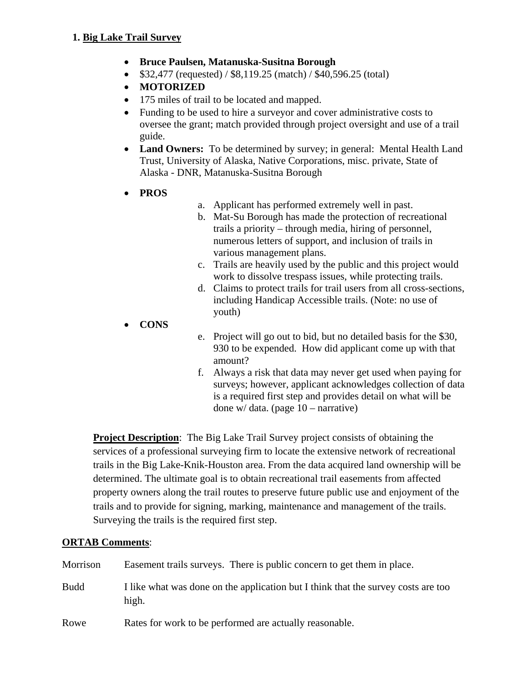- **Bruce Paulsen, Matanuska-Susitna Borough**
- $\bullet$  \$32,477 (requested) / \$8,119.25 (match) / \$40,596.25 (total)
- **MOTORIZED**
- 175 miles of trail to be located and mapped.
- Funding to be used to hire a surveyor and cover administrative costs to oversee the grant; match provided through project oversight and use of a trail guide.
- **Land Owners:** To be determined by survey; in general: Mental Health Land Trust, University of Alaska, Native Corporations, misc. private, State of Alaska - DNR, Matanuska-Susitna Borough
- **PROS**
- a. Applicant has performed extremely well in past.
- b. Mat-Su Borough has made the protection of recreational trails a priority – through media, hiring of personnel, numerous letters of support, and inclusion of trails in various management plans.
- c. Trails are heavily used by the public and this project would work to dissolve trespass issues, while protecting trails.
- d. Claims to protect trails for trail users from all cross-sections, including Handicap Accessible trails. (Note: no use of youth)
- **CONS**
- e. Project will go out to bid, but no detailed basis for the \$30, 930 to be expended. How did applicant come up with that amount?
- f. Always a risk that data may never get used when paying for surveys; however, applicant acknowledges collection of data is a required first step and provides detail on what will be done w/ data. (page 10 – narrative)

**Project Description**: The Big Lake Trail Survey project consists of obtaining the services of a professional surveying firm to locate the extensive network of recreational trails in the Big Lake-Knik-Houston area. From the data acquired land ownership will be determined. The ultimate goal is to obtain recreational trail easements from affected property owners along the trail routes to preserve future public use and enjoyment of the trails and to provide for signing, marking, maintenance and management of the trails. Surveying the trails is the required first step.

| Morrison    | Easement trails surveys. There is public concern to get them in place.                     |
|-------------|--------------------------------------------------------------------------------------------|
| <b>Budd</b> | I like what was done on the application but I think that the survey costs are too<br>high. |
| Rowe        | Rates for work to be performed are actually reasonable.                                    |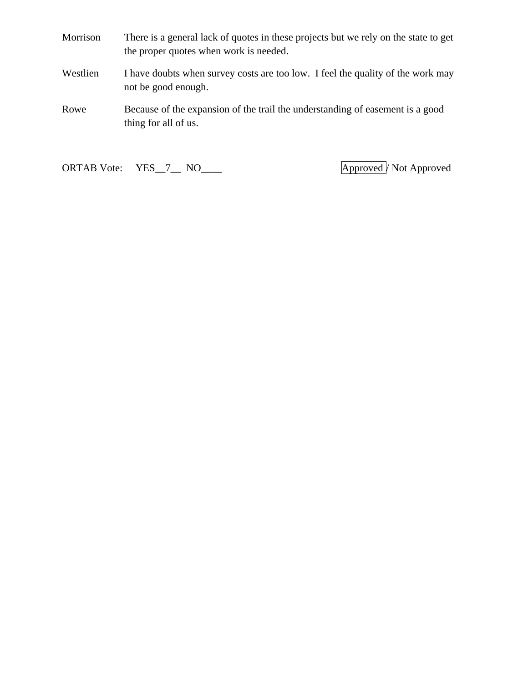- Morrison There is a general lack of quotes in these projects but we rely on the state to get the proper quotes when work is needed.
- Westlien I have doubts when survey costs are too low. I feel the quality of the work may not be good enough.
- Rowe Because of the expansion of the trail the understanding of easement is a good thing for all of us.

ORTAB Vote: YES\_7\_\_ NO\_\_\_\_ Approved / Not Approved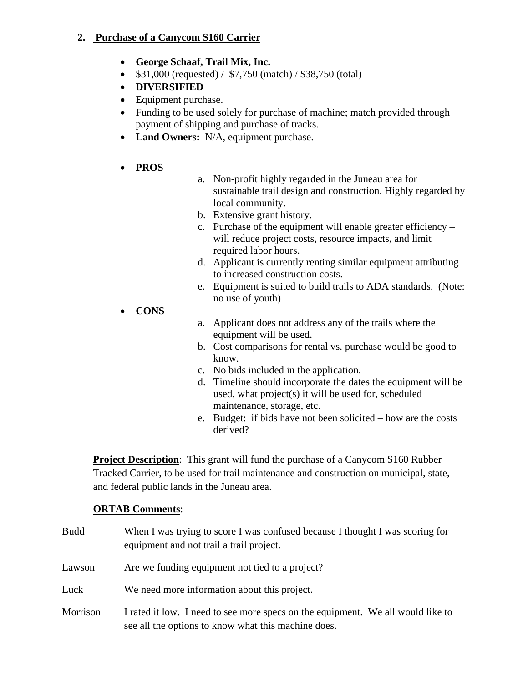### **2. Purchase of a Canycom S160 Carrier**

- **George Schaaf, Trail Mix, Inc.**
- $$31,000$  (requested) /  $$7,750$  (match) /  $$38,750$  (total)
- **DIVERSIFIED**
- Equipment purchase.
- Funding to be used solely for purchase of machine; match provided through payment of shipping and purchase of tracks.
- Land Owners: N/A, equipment purchase.
- **PROS**
- a. Non-profit highly regarded in the Juneau area for sustainable trail design and construction. Highly regarded by local community.
- b. Extensive grant history.
- c. Purchase of the equipment will enable greater efficiency will reduce project costs, resource impacts, and limit required labor hours.
- d. Applicant is currently renting similar equipment attributing to increased construction costs.
- e. Equipment is suited to build trails to ADA standards. (Note: no use of youth)
- **CONS**
- a. Applicant does not address any of the trails where the equipment will be used.
- b. Cost comparisons for rental vs. purchase would be good to know.
- c. No bids included in the application.
- d. Timeline should incorporate the dates the equipment will be used, what project(s) it will be used for, scheduled maintenance, storage, etc.
- e. Budget: if bids have not been solicited how are the costs derived?

**Project Description**: This grant will fund the purchase of a Canycom S160 Rubber Tracked Carrier, to be used for trail maintenance and construction on municipal, state, and federal public lands in the Juneau area.

#### **ORTAB Comments**:

Budd When I was trying to score I was confused because I thought I was scoring for equipment and not trail a trail project. Lawson Are we funding equipment not tied to a project? Luck We need more information about this project. Morrison I rated it low. I need to see more specs on the equipment. We all would like to see all the options to know what this machine does.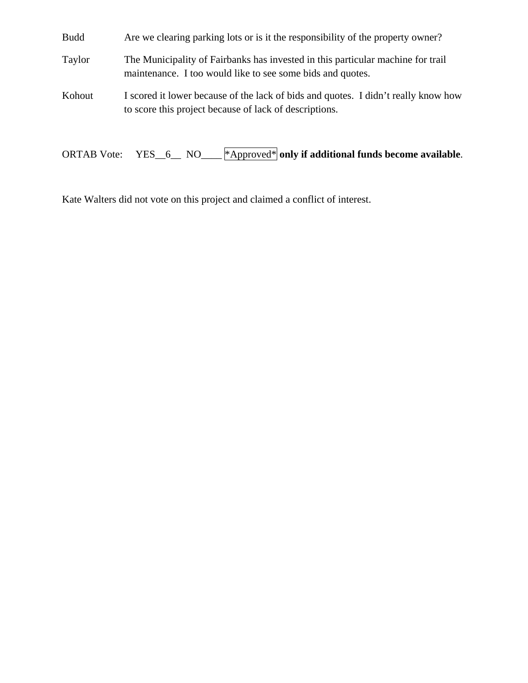Budd Are we clearing parking lots or is it the responsibility of the property owner?

Taylor The Municipality of Fairbanks has invested in this particular machine for trail maintenance. I too would like to see some bids and quotes.

Kohout I scored it lower because of the lack of bids and quotes. I didn't really know how to score this project because of lack of descriptions.

ORTAB Vote: YES\_\_6\_\_ NO\_\_\_\_ \*Approved\* **only if additional funds become available**.

Kate Walters did not vote on this project and claimed a conflict of interest.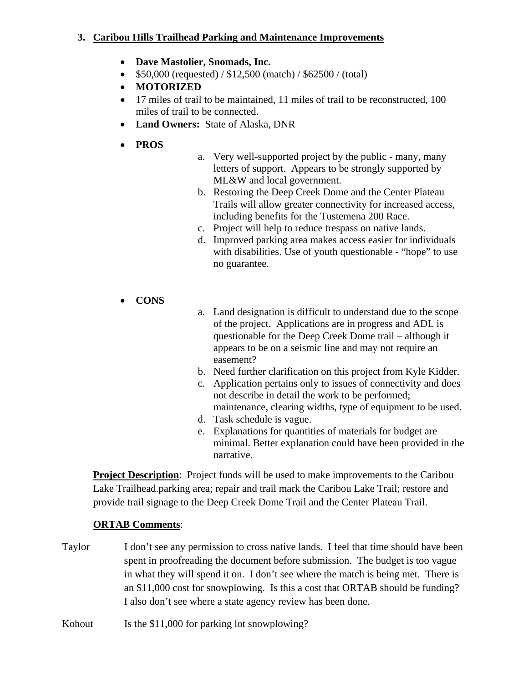#### **3. Caribou Hills Trailhead Parking and Maintenance Improvements**

- **Dave Mastolier, Snomads, Inc.**
- $$50,000$  (requested) / \$12,500 (match) / \$62500 / (total)
- **MOTORIZED**
- 17 miles of trail to be maintained, 11 miles of trail to be reconstructed, 100 miles of trail to be connected.
- **Land Owners:** State of Alaska, DNR
- **PROS**
- a. Very well-supported project by the public many, many letters of support. Appears to be strongly supported by ML&W and local government.
- b. Restoring the Deep Creek Dome and the Center Plateau Trails will allow greater connectivity for increased access, including benefits for the Tustemena 200 Race.
- c. Project will help to reduce trespass on native lands.
- d. Improved parking area makes access easier for individuals with disabilities. Use of youth questionable - "hope" to use no guarantee.
- **CONS**
- a. Land designation is difficult to understand due to the scope of the project. Applications are in progress and ADL is questionable for the Deep Creek Dome trail – although it appears to be on a seismic line and may not require an easement?
- b. Need further clarification on this project from Kyle Kidder.
- c. Application pertains only to issues of connectivity and does not describe in detail the work to be performed; maintenance, clearing widths, type of equipment to be used.
- d. Task schedule is vague.
- e. Explanations for quantities of materials for budget are minimal. Better explanation could have been provided in the narrative.

**Project Description**: Project funds will be used to make improvements to the Caribou Lake Trailhead.parking area; repair and trail mark the Caribou Lake Trail; restore and provide trail signage to the Deep Creek Dome Trail and the Center Plateau Trail.

- Taylor I don't see any permission to cross native lands. I feel that time should have been spent in proofreading the document before submission. The budget is too vague in what they will spend it on. I don't see where the match is being met. There is an \$11,000 cost for snowplowing. Is this a cost that ORTAB should be funding? I also don't see where a state agency review has been done.
- Kohout Is the \$11,000 for parking lot snowplowing?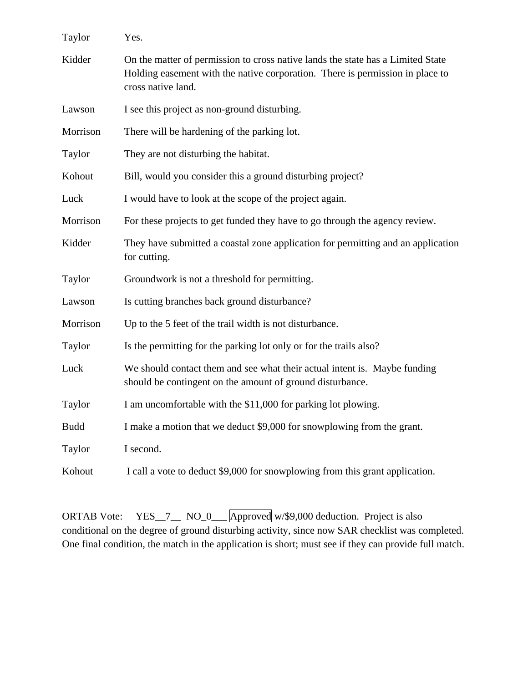| Taylor      | Yes.                                                                                                                                                                                   |
|-------------|----------------------------------------------------------------------------------------------------------------------------------------------------------------------------------------|
| Kidder      | On the matter of permission to cross native lands the state has a Limited State<br>Holding easement with the native corporation. There is permission in place to<br>cross native land. |
| Lawson      | I see this project as non-ground disturbing.                                                                                                                                           |
| Morrison    | There will be hardening of the parking lot.                                                                                                                                            |
| Taylor      | They are not disturbing the habitat.                                                                                                                                                   |
| Kohout      | Bill, would you consider this a ground disturbing project?                                                                                                                             |
| Luck        | I would have to look at the scope of the project again.                                                                                                                                |
| Morrison    | For these projects to get funded they have to go through the agency review.                                                                                                            |
| Kidder      | They have submitted a coastal zone application for permitting and an application<br>for cutting.                                                                                       |
| Taylor      | Groundwork is not a threshold for permitting.                                                                                                                                          |
| Lawson      | Is cutting branches back ground disturbance?                                                                                                                                           |
| Morrison    | Up to the 5 feet of the trail width is not disturbance.                                                                                                                                |
| Taylor      | Is the permitting for the parking lot only or for the trails also?                                                                                                                     |
| Luck        | We should contact them and see what their actual intent is. Maybe funding<br>should be contingent on the amount of ground disturbance.                                                 |
| Taylor      | I am uncomfortable with the \$11,000 for parking lot plowing.                                                                                                                          |
| <b>Budd</b> | I make a motion that we deduct \$9,000 for snowplowing from the grant.                                                                                                                 |
| Taylor      | I second.                                                                                                                                                                              |
| Kohout      | I call a vote to deduct \$9,000 for snowplowing from this grant application.                                                                                                           |

ORTAB Vote: YES\_7\_\_ NO\_0\_\_ Approved w/\$9,000 deduction. Project is also conditional on the degree of ground disturbing activity, since now SAR checklist was completed. One final condition, the match in the application is short; must see if they can provide full match.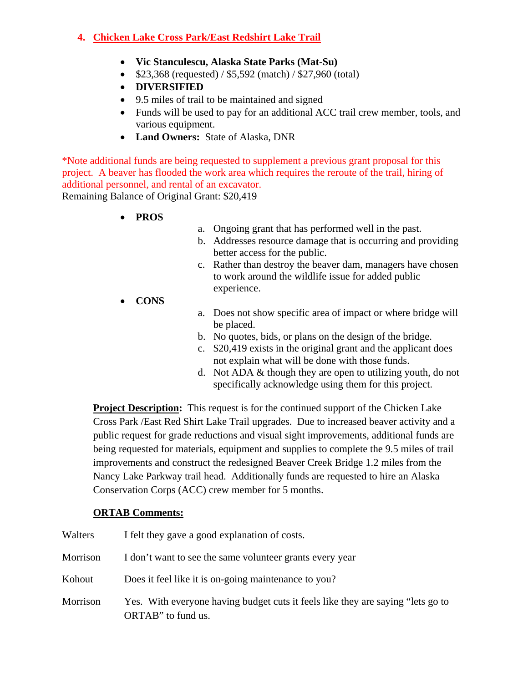### **4. Chicken Lake Cross Park/East Redshirt Lake Trail**

- **Vic Stanculescu, Alaska State Parks (Mat-Su)**
- $$23,368$  (requested) / \$5,592 (match) / \$27,960 (total)
- **DIVERSIFIED**
- 9.5 miles of trail to be maintained and signed
- Funds will be used to pay for an additional ACC trail crew member, tools, and various equipment.
- **Land Owners:** State of Alaska, DNR

\*Note additional funds are being requested to supplement a previous grant proposal for this project. A beaver has flooded the work area which requires the reroute of the trail, hiring of additional personnel, and rental of an excavator. Remaining Balance of Original Grant: \$20,419

**PROS** 

- a. Ongoing grant that has performed well in the past.
- b. Addresses resource damage that is occurring and providing better access for the public.
- c. Rather than destroy the beaver dam, managers have chosen to work around the wildlife issue for added public experience.
- **CONS**
- a. Does not show specific area of impact or where bridge will be placed.
- b. No quotes, bids, or plans on the design of the bridge.
- c. \$20,419 exists in the original grant and the applicant does not explain what will be done with those funds.
- d. Not ADA & though they are open to utilizing youth, do not specifically acknowledge using them for this project.

**Project Description:** This request is for the continued support of the Chicken Lake Cross Park /East Red Shirt Lake Trail upgrades. Due to increased beaver activity and a public request for grade reductions and visual sight improvements, additional funds are being requested for materials, equipment and supplies to complete the 9.5 miles of trail improvements and construct the redesigned Beaver Creek Bridge 1.2 miles from the Nancy Lake Parkway trail head. Additionally funds are requested to hire an Alaska Conservation Corps (ACC) crew member for 5 months.

| Walters  | I felt they gave a good explanation of costs.                                                         |
|----------|-------------------------------------------------------------------------------------------------------|
| Morrison | I don't want to see the same volunteer grants every year                                              |
| Kohout   | Does it feel like it is on-going maintenance to you?                                                  |
| Morrison | Yes. With everyone having budget cuts it feels like they are saying "lets go to<br>ORTAB" to fund us. |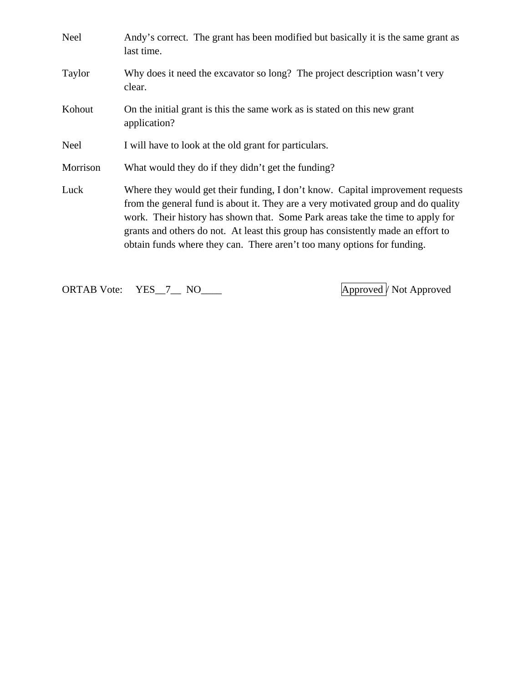| <b>Neel</b> | Andy's correct. The grant has been modified but basically it is the same grant as<br>last time.                                                                                                                                                                                                                                                                                                                      |
|-------------|----------------------------------------------------------------------------------------------------------------------------------------------------------------------------------------------------------------------------------------------------------------------------------------------------------------------------------------------------------------------------------------------------------------------|
| Taylor      | Why does it need the excavator so long? The project description wasn't very<br>clear.                                                                                                                                                                                                                                                                                                                                |
| Kohout      | On the initial grant is this the same work as is stated on this new grant<br>application?                                                                                                                                                                                                                                                                                                                            |
| <b>Neel</b> | I will have to look at the old grant for particulars.                                                                                                                                                                                                                                                                                                                                                                |
| Morrison    | What would they do if they didn't get the funding?                                                                                                                                                                                                                                                                                                                                                                   |
| Luck        | Where they would get their funding, I don't know. Capital improvement requests<br>from the general fund is about it. They are a very motivated group and do quality<br>work. Their history has shown that. Some Park areas take the time to apply for<br>grants and others do not. At least this group has consistently made an effort to<br>obtain funds where they can. There aren't too many options for funding. |

ORTAB Vote: YES\_7\_ NO\_\_\_\_ Approved / Not Approved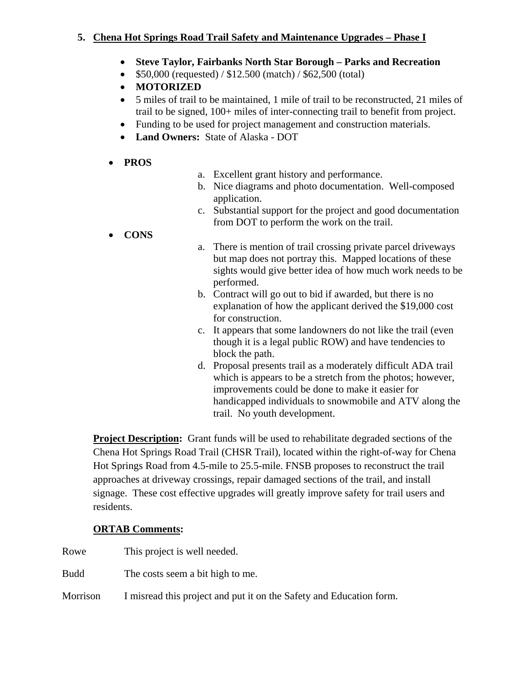### **5. Chena Hot Springs Road Trail Safety and Maintenance Upgrades – Phase I**

- **Steve Taylor, Fairbanks North Star Borough Parks and Recreation**
- $\bullet$  \$50,000 (requested) / \$12.500 (match) / \$62,500 (total)
- **MOTORIZED**
- 5 miles of trail to be maintained, 1 mile of trail to be reconstructed, 21 miles of trail to be signed, 100+ miles of inter-connecting trail to benefit from project.
- Funding to be used for project management and construction materials.
- **Land Owners:** State of Alaska DOT
- **PROS**
- a. Excellent grant history and performance.
- b. Nice diagrams and photo documentation. Well-composed application.
- c. Substantial support for the project and good documentation from DOT to perform the work on the trail.
- **CONS**
- a. There is mention of trail crossing private parcel driveways but map does not portray this. Mapped locations of these sights would give better idea of how much work needs to be performed.
- b. Contract will go out to bid if awarded, but there is no explanation of how the applicant derived the \$19,000 cost for construction.
- c. It appears that some landowners do not like the trail (even though it is a legal public ROW) and have tendencies to block the path.
- d. Proposal presents trail as a moderately difficult ADA trail which is appears to be a stretch from the photos; however, improvements could be done to make it easier for handicapped individuals to snowmobile and ATV along the trail. No youth development.

**Project Description:** Grant funds will be used to rehabilitate degraded sections of the Chena Hot Springs Road Trail (CHSR Trail), located within the right-of-way for Chena Hot Springs Road from 4.5-mile to 25.5-mile. FNSB proposes to reconstruct the trail approaches at driveway crossings, repair damaged sections of the trail, and install signage. These cost effective upgrades will greatly improve safety for trail users and residents.

- Rowe This project is well needed.
- Budd The costs seem a bit high to me.
- Morrison I misread this project and put it on the Safety and Education form.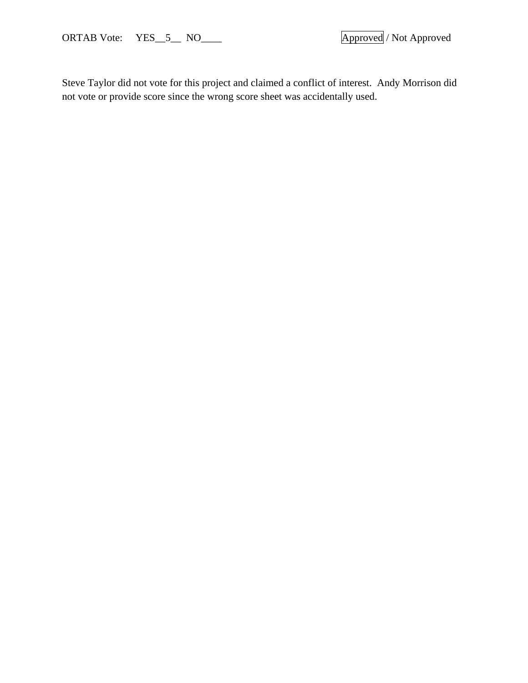Steve Taylor did not vote for this project and claimed a conflict of interest. Andy Morrison did not vote or provide score since the wrong score sheet was accidentally used.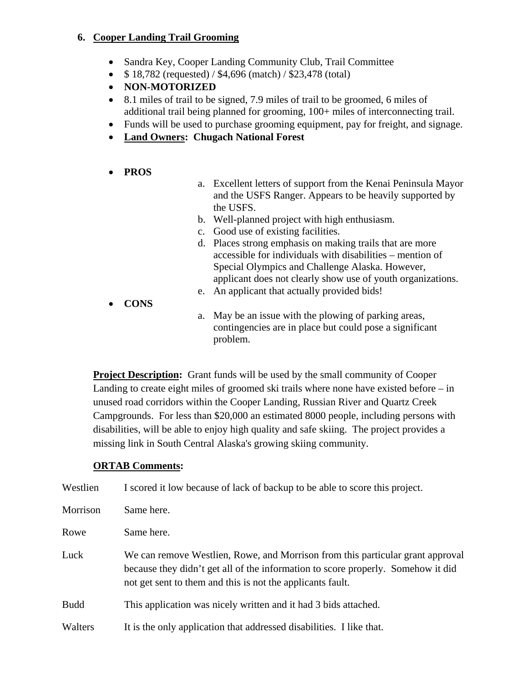#### **6. Cooper Landing Trail Grooming**

- Sandra Key, Cooper Landing Community Club, Trail Committee
- $\bullet$  \$18,782 (requested) / \$4,696 (match) / \$23,478 (total)
- **NON-MOTORIZED**
- 8.1 miles of trail to be signed, 7.9 miles of trail to be groomed, 6 miles of additional trail being planned for grooming, 100+ miles of interconnecting trail.
- Funds will be used to purchase grooming equipment, pay for freight, and signage.
- **Land Owners: Chugach National Forest**
- **PROS**
- a. Excellent letters of support from the Kenai Peninsula Mayor and the USFS Ranger. Appears to be heavily supported by the USFS.
- b. Well-planned project with high enthusiasm.
- c. Good use of existing facilities.
- d. Places strong emphasis on making trails that are more accessible for individuals with disabilities – mention of Special Olympics and Challenge Alaska. However, applicant does not clearly show use of youth organizations.
- e. An applicant that actually provided bids!
- **CONS**
- a. May be an issue with the plowing of parking areas, contingencies are in place but could pose a significant problem.

**Project Description:** Grant funds will be used by the small community of Cooper Landing to create eight miles of groomed ski trails where none have existed before – in unused road corridors within the Cooper Landing, Russian River and Quartz Creek Campgrounds. For less than \$20,000 an estimated 8000 people, including persons with disabilities, will be able to enjoy high quality and safe skiing. The project provides a missing link in South Central Alaska's growing skiing community.

| Westlien    | I scored it low because of lack of backup to be able to score this project.                                                                                                                                                      |
|-------------|----------------------------------------------------------------------------------------------------------------------------------------------------------------------------------------------------------------------------------|
| Morrison    | Same here.                                                                                                                                                                                                                       |
| Rowe        | Same here.                                                                                                                                                                                                                       |
| Luck        | We can remove Westlien, Rowe, and Morrison from this particular grant approval<br>because they didn't get all of the information to score properly. Somehow it did<br>not get sent to them and this is not the applicants fault. |
| <b>Budd</b> | This application was nicely written and it had 3 bids attached.                                                                                                                                                                  |
| Walters     | It is the only application that addressed disabilities. I like that.                                                                                                                                                             |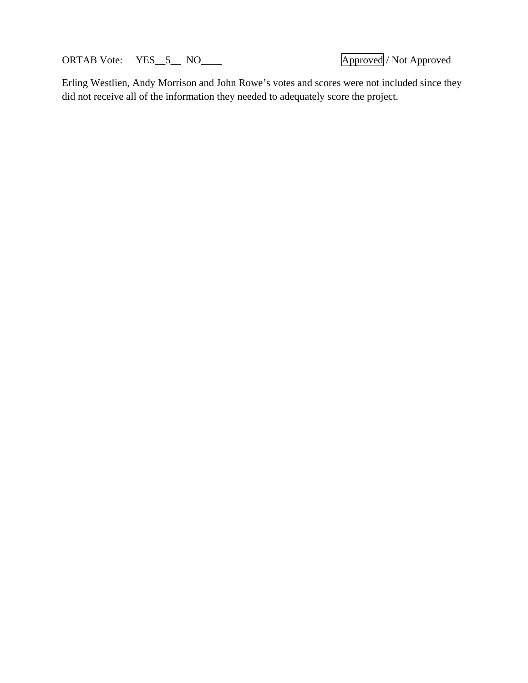ORTAB Vote: YES\_5\_ NO\_\_\_\_ Approved / Not Approved / Not Approved

Erling Westlien, Andy Morrison and John Rowe's votes and scores were not included since they did not receive all of the information they needed to adequately score the project.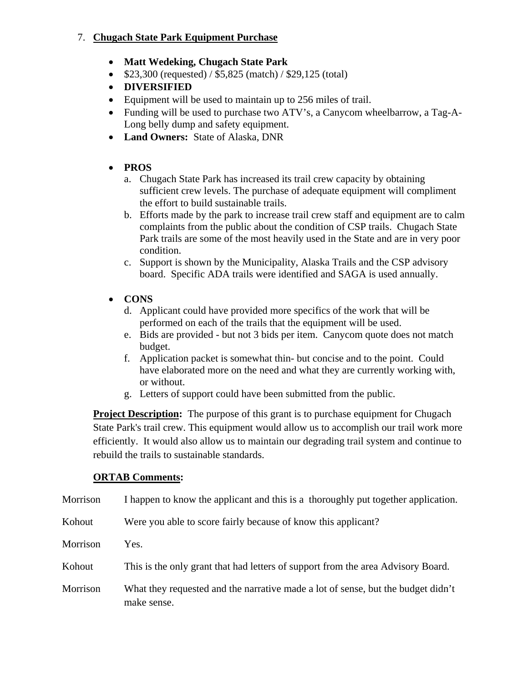### 7. **Chugach State Park Equipment Purchase**

- **Matt Wedeking, Chugach State Park**
- $\bullet$  \$23,300 (requested) / \$5,825 (match) / \$29,125 (total)
- **DIVERSIFIED**
- Equipment will be used to maintain up to 256 miles of trail.
- Funding will be used to purchase two ATV's, a Canycom wheelbarrow, a Tag-A-Long belly dump and safety equipment.
- **Land Owners:** State of Alaska, DNR
- **PROS** 
	- a. Chugach State Park has increased its trail crew capacity by obtaining sufficient crew levels. The purchase of adequate equipment will compliment the effort to build sustainable trails.
	- b. Efforts made by the park to increase trail crew staff and equipment are to calm complaints from the public about the condition of CSP trails. Chugach State Park trails are some of the most heavily used in the State and are in very poor condition.
	- c. Support is shown by the Municipality, Alaska Trails and the CSP advisory board. Specific ADA trails were identified and SAGA is used annually.
- **CONS** 
	- d. Applicant could have provided more specifics of the work that will be performed on each of the trails that the equipment will be used.
	- e. Bids are provided but not 3 bids per item. Canycom quote does not match budget.
	- f. Application packet is somewhat thin- but concise and to the point. Could have elaborated more on the need and what they are currently working with, or without.
	- g. Letters of support could have been submitted from the public.

**Project Description:** The purpose of this grant is to purchase equipment for Chugach State Park's trail crew. This equipment would allow us to accomplish our trail work more efficiently. It would also allow us to maintain our degrading trail system and continue to rebuild the trails to sustainable standards.

| Morrison | I happen to know the applicant and this is a thoroughly put together application.               |
|----------|-------------------------------------------------------------------------------------------------|
| Kohout   | Were you able to score fairly because of know this applicant?                                   |
| Morrison | Yes.                                                                                            |
| Kohout   | This is the only grant that had letters of support from the area Advisory Board.                |
| Morrison | What they requested and the narrative made a lot of sense, but the budget didn't<br>make sense. |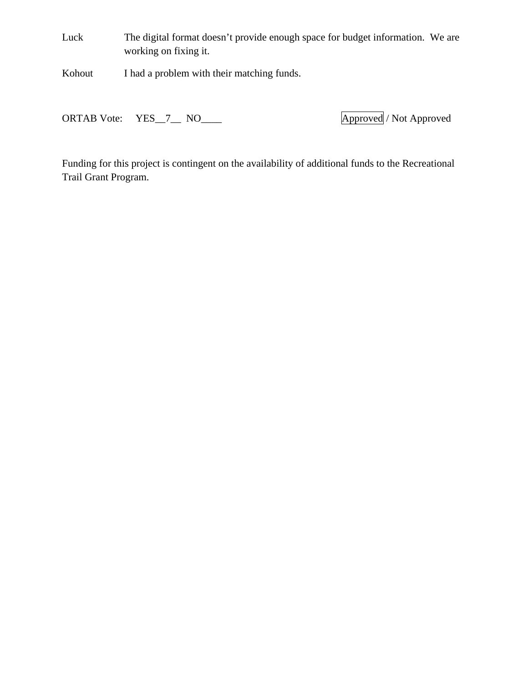Luck The digital format doesn't provide enough space for budget information. We are working on fixing it.

Kohout I had a problem with their matching funds.

ORTAB Vote: YES\_7\_\_ NO\_\_\_\_ Approved / Not Approved

Funding for this project is contingent on the availability of additional funds to the Recreational Trail Grant Program.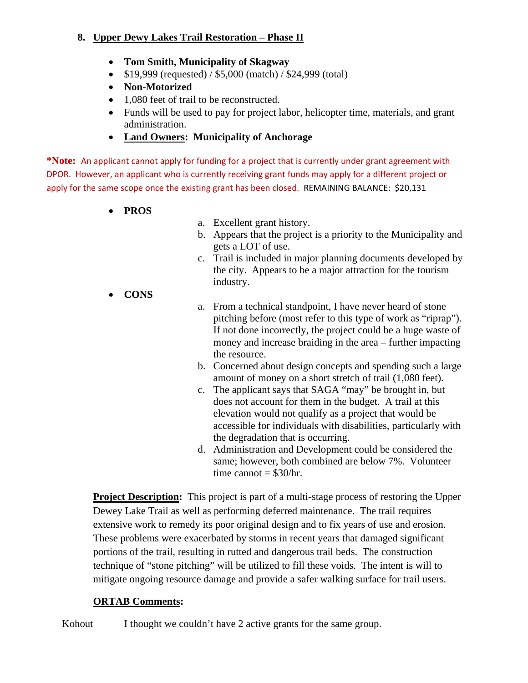### **8. Upper Dewy Lakes Trail Restoration – Phase II**

- **Tom Smith, Municipality of Skagway**
- $\bullet$  \$19,999 (requested) / \$5,000 (match) / \$24,999 (total)
- **Non-Motorized**
- 1,080 feet of trail to be reconstructed.
- Funds will be used to pay for project labor, helicopter time, materials, and grant administration.
- **Land Owners: Municipality of Anchorage**

**\*Note:** An applicant cannot apply for funding for a project that is currently under grant agreement with DPOR. However, an applicant who is currently receiving grant funds may apply for a different project or apply for the same scope once the existing grant has been closed. REMAINING BALANCE: \$20,131

- **PROS**
- a. Excellent grant history.
- b. Appears that the project is a priority to the Municipality and gets a LOT of use.
- c. Trail is included in major planning documents developed by the city. Appears to be a major attraction for the tourism industry.
- **CONS**
- a. From a technical standpoint, I have never heard of stone pitching before (most refer to this type of work as "riprap"). If not done incorrectly, the project could be a huge waste of money and increase braiding in the area – further impacting the resource.
- b. Concerned about design concepts and spending such a large amount of money on a short stretch of trail (1,080 feet).
- c. The applicant says that SAGA "may" be brought in, but does not account for them in the budget. A trail at this elevation would not qualify as a project that would be accessible for individuals with disabilities, particularly with the degradation that is occurring.
- d. Administration and Development could be considered the same; however, both combined are below 7%. Volunteer time cannot  $=$  \$30/hr.

**Project Description:** This project is part of a multi-stage process of restoring the Upper Dewey Lake Trail as well as performing deferred maintenance. The trail requires extensive work to remedy its poor original design and to fix years of use and erosion. These problems were exacerbated by storms in recent years that damaged significant portions of the trail, resulting in rutted and dangerous trail beds. The construction technique of "stone pitching" will be utilized to fill these voids. The intent is will to mitigate ongoing resource damage and provide a safer walking surface for trail users.

### **ORTAB Comments:**

Kohout I thought we couldn't have 2 active grants for the same group.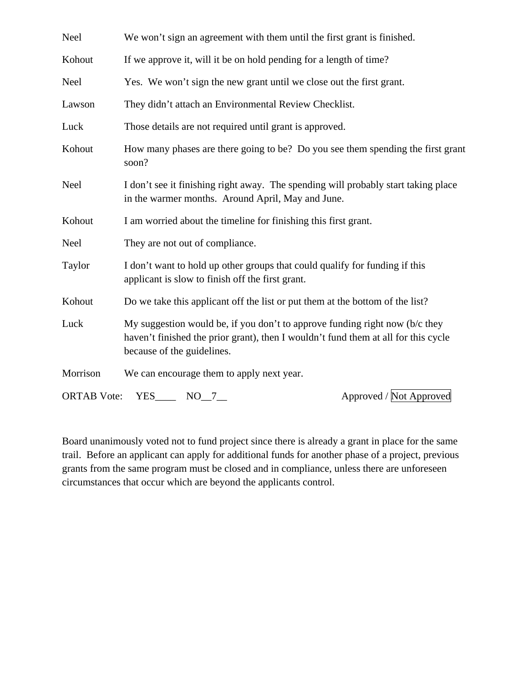| Neel               | We won't sign an agreement with them until the first grant is finished.                                                                                                                            |
|--------------------|----------------------------------------------------------------------------------------------------------------------------------------------------------------------------------------------------|
| Kohout             | If we approve it, will it be on hold pending for a length of time?                                                                                                                                 |
| Neel               | Yes. We won't sign the new grant until we close out the first grant.                                                                                                                               |
| Lawson             | They didn't attach an Environmental Review Checklist.                                                                                                                                              |
| Luck               | Those details are not required until grant is approved.                                                                                                                                            |
| Kohout             | How many phases are there going to be? Do you see them spending the first grant<br>soon?                                                                                                           |
| Neel               | I don't see it finishing right away. The spending will probably start taking place<br>in the warmer months. Around April, May and June.                                                            |
| Kohout             | I am worried about the timeline for finishing this first grant.                                                                                                                                    |
| Neel               | They are not out of compliance.                                                                                                                                                                    |
| Taylor             | I don't want to hold up other groups that could qualify for funding if this<br>applicant is slow to finish off the first grant.                                                                    |
| Kohout             | Do we take this applicant off the list or put them at the bottom of the list?                                                                                                                      |
| Luck               | My suggestion would be, if you don't to approve funding right now ( $b/c$ they<br>haven't finished the prior grant), then I wouldn't fund them at all for this cycle<br>because of the guidelines. |
| Morrison           | We can encourage them to apply next year.                                                                                                                                                          |
| <b>ORTAB</b> Vote: | Approved / Not Approved<br>$YES$ NO $7$                                                                                                                                                            |

Board unanimously voted not to fund project since there is already a grant in place for the same trail. Before an applicant can apply for additional funds for another phase of a project, previous grants from the same program must be closed and in compliance, unless there are unforeseen circumstances that occur which are beyond the applicants control.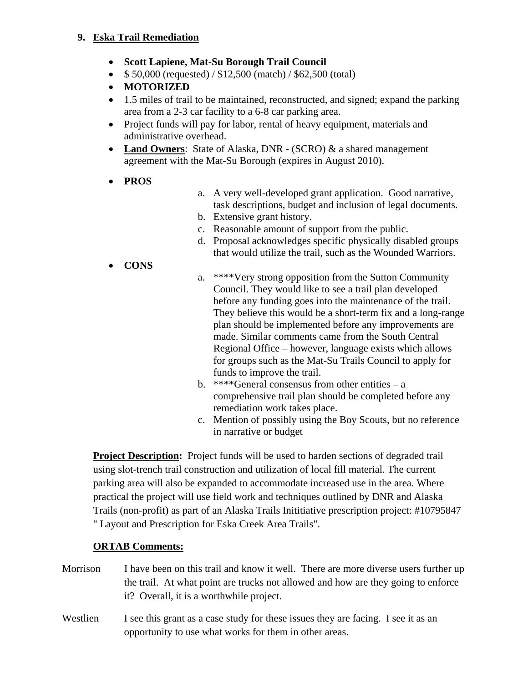#### **9. Eska Trail Remediation**

- **Scott Lapiene, Mat-Su Borough Trail Council**
- $\bullet$  \$ 50,000 (requested) / \$12,500 (match) / \$62,500 (total)
- **MOTORIZED**
- 1.5 miles of trail to be maintained, reconstructed, and signed; expand the parking area from a 2-3 car facility to a 6-8 car parking area.
- Project funds will pay for labor, rental of heavy equipment, materials and administrative overhead.
- **Land Owners**: State of Alaska, DNR (SCRO) & a shared management agreement with the Mat-Su Borough (expires in August 2010).
- **PROS**
- a. A very well-developed grant application. Good narrative, task descriptions, budget and inclusion of legal documents.
- b. Extensive grant history.
- c. Reasonable amount of support from the public.
- d. Proposal acknowledges specific physically disabled groups that would utilize the trail, such as the Wounded Warriors.
- **CONS**
- a. \*\*\*\*Very strong opposition from the Sutton Community Council. They would like to see a trail plan developed before any funding goes into the maintenance of the trail. They believe this would be a short-term fix and a long-range plan should be implemented before any improvements are made. Similar comments came from the South Central Regional Office – however, language exists which allows for groups such as the Mat-Su Trails Council to apply for funds to improve the trail.
- b. \*\*\*\*General consensus from other entities a comprehensive trail plan should be completed before any remediation work takes place.
- c. Mention of possibly using the Boy Scouts, but no reference in narrative or budget

**Project Description:** Project funds will be used to harden sections of degraded trail using slot-trench trail construction and utilization of local fill material. The current parking area will also be expanded to accommodate increased use in the area. Where practical the project will use field work and techniques outlined by DNR and Alaska Trails (non-profit) as part of an Alaska Trails Inititiative prescription project: #10795847 " Layout and Prescription for Eska Creek Area Trails".

- Morrison I have been on this trail and know it well. There are more diverse users further up the trail. At what point are trucks not allowed and how are they going to enforce it? Overall, it is a worthwhile project.
- Westlien I see this grant as a case study for these issues they are facing. I see it as an opportunity to use what works for them in other areas.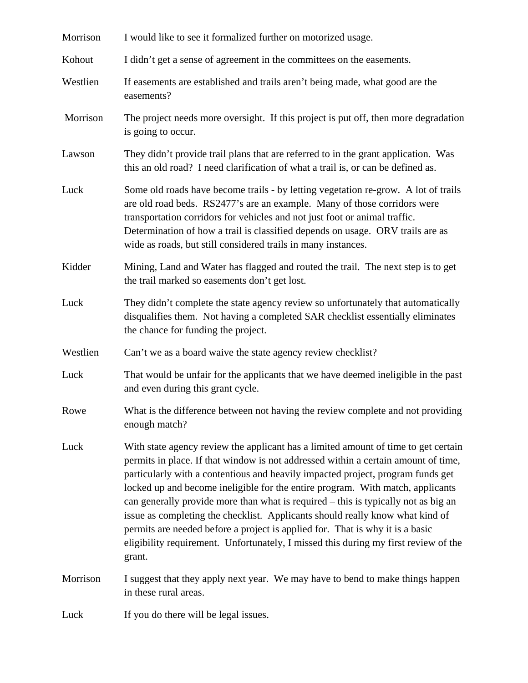| Morrison | I would like to see it formalized further on motorized usage.                                                                                                                                                                                                                                                                                                                                                                                                                                                                                                                                                                                                                                          |
|----------|--------------------------------------------------------------------------------------------------------------------------------------------------------------------------------------------------------------------------------------------------------------------------------------------------------------------------------------------------------------------------------------------------------------------------------------------------------------------------------------------------------------------------------------------------------------------------------------------------------------------------------------------------------------------------------------------------------|
| Kohout   | I didn't get a sense of agreement in the committees on the easements.                                                                                                                                                                                                                                                                                                                                                                                                                                                                                                                                                                                                                                  |
| Westlien | If easements are established and trails aren't being made, what good are the<br>easements?                                                                                                                                                                                                                                                                                                                                                                                                                                                                                                                                                                                                             |
| Morrison | The project needs more oversight. If this project is put off, then more degradation<br>is going to occur.                                                                                                                                                                                                                                                                                                                                                                                                                                                                                                                                                                                              |
| Lawson   | They didn't provide trail plans that are referred to in the grant application. Was<br>this an old road? I need clarification of what a trail is, or can be defined as.                                                                                                                                                                                                                                                                                                                                                                                                                                                                                                                                 |
| Luck     | Some old roads have become trails - by letting vegetation re-grow. A lot of trails<br>are old road beds. RS2477's are an example. Many of those corridors were<br>transportation corridors for vehicles and not just foot or animal traffic.<br>Determination of how a trail is classified depends on usage. ORV trails are as<br>wide as roads, but still considered trails in many instances.                                                                                                                                                                                                                                                                                                        |
| Kidder   | Mining, Land and Water has flagged and routed the trail. The next step is to get<br>the trail marked so easements don't get lost.                                                                                                                                                                                                                                                                                                                                                                                                                                                                                                                                                                      |
| Luck     | They didn't complete the state agency review so unfortunately that automatically<br>disqualifies them. Not having a completed SAR checklist essentially eliminates<br>the chance for funding the project.                                                                                                                                                                                                                                                                                                                                                                                                                                                                                              |
| Westlien | Can't we as a board waive the state agency review checklist?                                                                                                                                                                                                                                                                                                                                                                                                                                                                                                                                                                                                                                           |
| Luck     | That would be unfair for the applicants that we have deemed ineligible in the past<br>and even during this grant cycle.                                                                                                                                                                                                                                                                                                                                                                                                                                                                                                                                                                                |
| Rowe     | What is the difference between not having the review complete and not providing<br>enough match?                                                                                                                                                                                                                                                                                                                                                                                                                                                                                                                                                                                                       |
| Luck     | With state agency review the applicant has a limited amount of time to get certain<br>permits in place. If that window is not addressed within a certain amount of time,<br>particularly with a contentious and heavily impacted project, program funds get<br>locked up and become ineligible for the entire program. With match, applicants<br>can generally provide more than what is required – this is typically not as big an<br>issue as completing the checklist. Applicants should really know what kind of<br>permits are needed before a project is applied for. That is why it is a basic<br>eligibility requirement. Unfortunately, I missed this during my first review of the<br>grant. |
| Morrison | I suggest that they apply next year. We may have to bend to make things happen<br>in these rural areas.                                                                                                                                                                                                                                                                                                                                                                                                                                                                                                                                                                                                |
| Luck     | If you do there will be legal issues.                                                                                                                                                                                                                                                                                                                                                                                                                                                                                                                                                                                                                                                                  |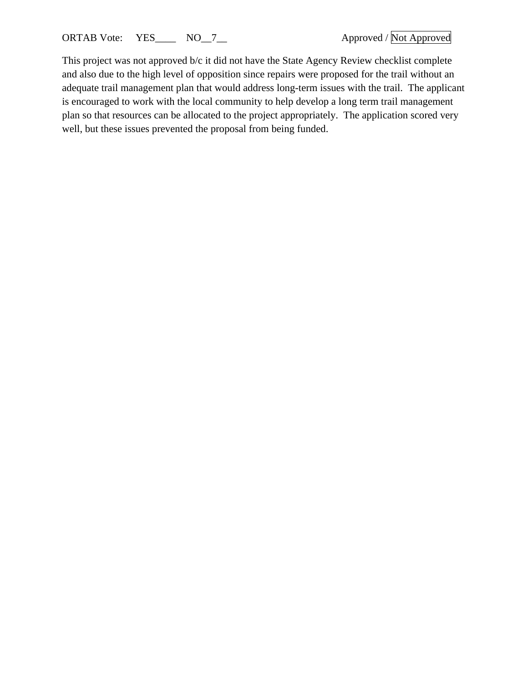This project was not approved b/c it did not have the State Agency Review checklist complete and also due to the high level of opposition since repairs were proposed for the trail without an adequate trail management plan that would address long-term issues with the trail. The applicant is encouraged to work with the local community to help develop a long term trail management plan so that resources can be allocated to the project appropriately. The application scored very well, but these issues prevented the proposal from being funded.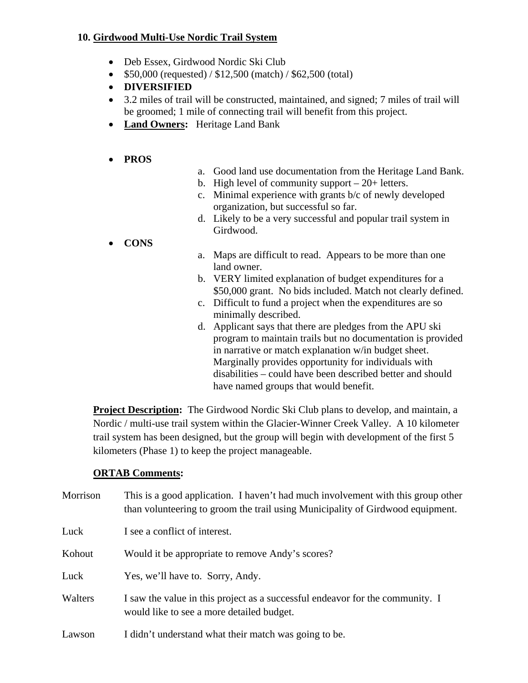#### **10. Girdwood Multi-Use Nordic Trail System**

- Deb Essex, Girdwood Nordic Ski Club
- $\bullet$  \$50,000 (requested) / \$12,500 (match) / \$62,500 (total)
- **DIVERSIFIED**
- 3.2 miles of trail will be constructed, maintained, and signed; 7 miles of trail will be groomed; 1 mile of connecting trail will benefit from this project.
- **Land Owners:** Heritage Land Bank

## **PROS**

- a. Good land use documentation from the Heritage Land Bank.
- b. High level of community support  $-20+$  letters.
- c. Minimal experience with grants b/c of newly developed organization, but successful so far.
- d. Likely to be a very successful and popular trail system in Girdwood.
- **CONS**
- a. Maps are difficult to read. Appears to be more than one land owner.
- b. VERY limited explanation of budget expenditures for a \$50,000 grant. No bids included. Match not clearly defined.
- c. Difficult to fund a project when the expenditures are so minimally described.
- d. Applicant says that there are pledges from the APU ski program to maintain trails but no documentation is provided in narrative or match explanation w/in budget sheet. Marginally provides opportunity for individuals with disabilities – could have been described better and should have named groups that would benefit.

**Project Description:** The Girdwood Nordic Ski Club plans to develop, and maintain, a Nordic / multi-use trail system within the Glacier-Winner Creek Valley. A 10 kilometer trail system has been designed, but the group will begin with development of the first 5 kilometers (Phase 1) to keep the project manageable.

| Morrison | This is a good application. I haven't had much involvement with this group other<br>than volunteering to groom the trail using Municipality of Girdwood equipment. |
|----------|--------------------------------------------------------------------------------------------------------------------------------------------------------------------|
| Luck     | I see a conflict of interest.                                                                                                                                      |
| Kohout   | Would it be appropriate to remove Andy's scores?                                                                                                                   |
| Luck     | Yes, we'll have to. Sorry, Andy.                                                                                                                                   |
| Walters  | I saw the value in this project as a successful endeavor for the community. I<br>would like to see a more detailed budget.                                         |
| Lawson   | I didn't understand what their match was going to be.                                                                                                              |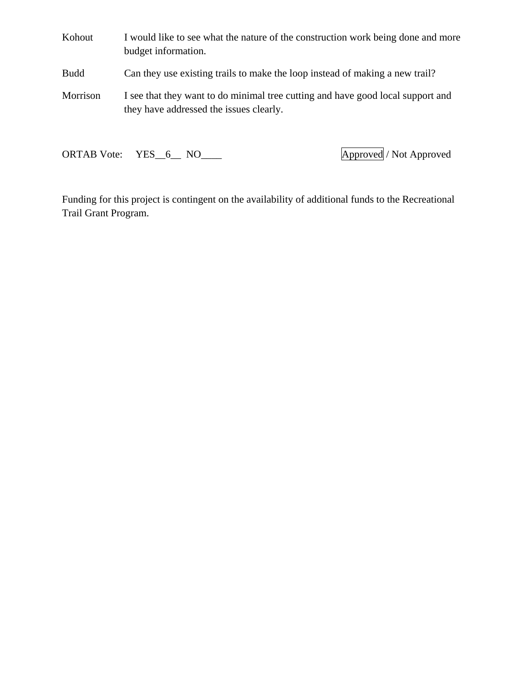Kohout I would like to see what the nature of the construction work being done and more budget information. Budd Can they use existing trails to make the loop instead of making a new trail? Morrison I see that they want to do minimal tree cutting and have good local support and they have addressed the issues clearly.

ORTAB Vote: YES\_6\_ NO\_\_\_\_ Approved / Not Approved

Funding for this project is contingent on the availability of additional funds to the Recreational Trail Grant Program.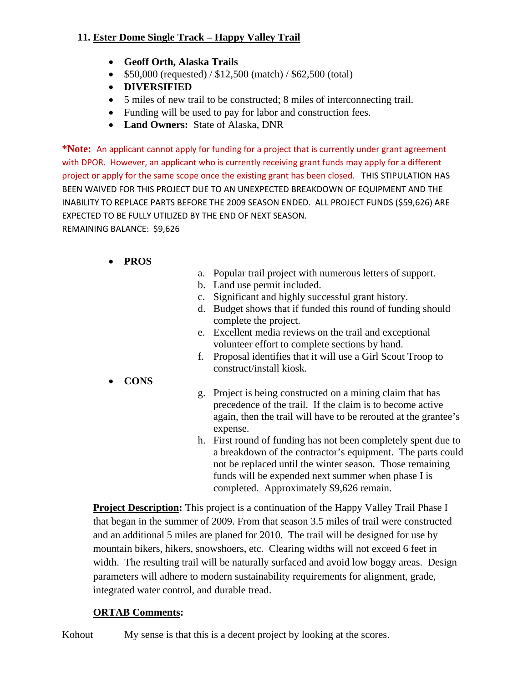### **11. Ester Dome Single Track – Happy Valley Trail**

- **Geoff Orth, Alaska Trails**
- $\bullet$  \$50,000 (requested) / \$12,500 (match) / \$62,500 (total)
- **DIVERSIFIED**
- 5 miles of new trail to be constructed; 8 miles of interconnecting trail.
- Funding will be used to pay for labor and construction fees.
- **Land Owners:** State of Alaska, DNR

**\*Note:** An applicant cannot apply for funding for a project that is currently under grant agreement with DPOR. However, an applicant who is currently receiving grant funds may apply for a different project or apply for the same scope once the existing grant has been closed. THIS STIPULATION HAS BEEN WAIVED FOR THIS PROJECT DUE TO AN UNEXPECTED BREAKDOWN OF EQUIPMENT AND THE INABILITY TO REPLACE PARTS BEFORE THE 2009 SEASON ENDED. ALL PROJECT FUNDS (\$59,626) ARE EXPECTED TO BE FULLY UTILIZED BY THE END OF NEXT SEASON.

REMAINING BALANCE: \$9,626

#### **PROS**

- a. Popular trail project with numerous letters of support.
- b. Land use permit included.
- c. Significant and highly successful grant history.
- d. Budget shows that if funded this round of funding should complete the project.
- e. Excellent media reviews on the trail and exceptional volunteer effort to complete sections by hand.
- f. Proposal identifies that it will use a Girl Scout Troop to construct/install kiosk.
- **CONS**
- g. Project is being constructed on a mining claim that has precedence of the trail. If the claim is to become active again, then the trail will have to be rerouted at the grantee's expense.
- h. First round of funding has not been completely spent due to a breakdown of the contractor's equipment. The parts could not be replaced until the winter season. Those remaining funds will be expended next summer when phase I is completed. Approximately \$9,626 remain.

**Project Description:** This project is a continuation of the Happy Valley Trail Phase I that began in the summer of 2009. From that season 3.5 miles of trail were constructed and an additional 5 miles are planed for 2010. The trail will be designed for use by mountain bikers, hikers, snowshoers, etc. Clearing widths will not exceed 6 feet in width. The resulting trail will be naturally surfaced and avoid low boggy areas. Design parameters will adhere to modern sustainability requirements for alignment, grade, integrated water control, and durable tread.

#### **ORTAB Comments:**

Kohout My sense is that this is a decent project by looking at the scores.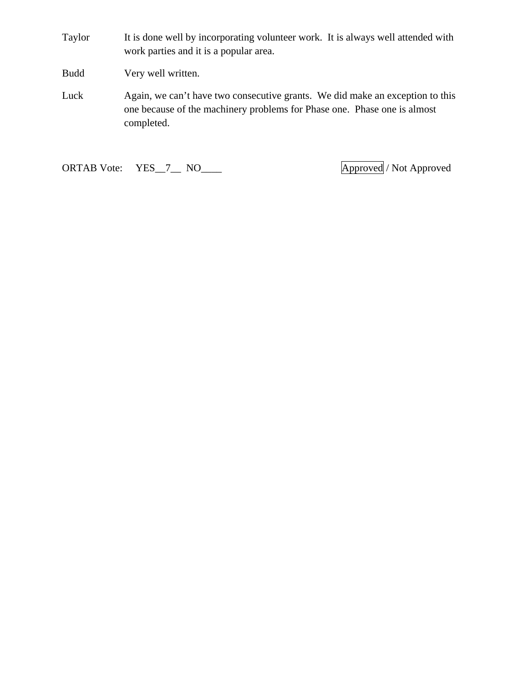Taylor It is done well by incorporating volunteer work. It is always well attended with work parties and it is a popular area.

Budd Very well written.

Luck Again, we can't have two consecutive grants. We did make an exception to this one because of the machinery problems for Phase one. Phase one is almost completed.

ORTAB Vote: YES\_7\_\_ NO\_\_\_\_ Approved / Not Approved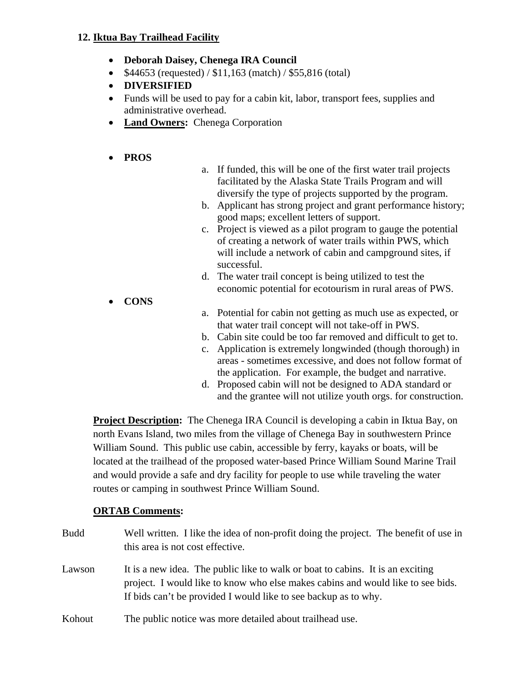#### **12. Iktua Bay Trailhead Facility**

- **Deborah Daisey, Chenega IRA Council**
- $$44653$  (requested) /  $$11,163$  (match) /  $$55,816$  (total)
- **DIVERSIFIED**
- Funds will be used to pay for a cabin kit, labor, transport fees, supplies and administrative overhead.
- **Land Owners:** Chenega Corporation

#### **PROS**

- a. If funded, this will be one of the first water trail projects facilitated by the Alaska State Trails Program and will diversify the type of projects supported by the program.
- b. Applicant has strong project and grant performance history; good maps; excellent letters of support.
- c. Project is viewed as a pilot program to gauge the potential of creating a network of water trails within PWS, which will include a network of cabin and campground sites, if successful.
- d. The water trail concept is being utilized to test the economic potential for ecotourism in rural areas of PWS.
- **CONS**
- a. Potential for cabin not getting as much use as expected, or that water trail concept will not take-off in PWS.
- b. Cabin site could be too far removed and difficult to get to.
- c. Application is extremely longwinded (though thorough) in areas - sometimes excessive, and does not follow format of the application. For example, the budget and narrative.
- d. Proposed cabin will not be designed to ADA standard or and the grantee will not utilize youth orgs. for construction.

**Project Description:** The Chenega IRA Council is developing a cabin in Iktua Bay, on north Evans Island, two miles from the village of Chenega Bay in southwestern Prince William Sound. This public use cabin, accessible by ferry, kayaks or boats, will be located at the trailhead of the proposed water-based Prince William Sound Marine Trail and would provide a safe and dry facility for people to use while traveling the water routes or camping in southwest Prince William Sound.

| <b>Budd</b> | Well written. I like the idea of non-profit doing the project. The benefit of use in<br>this area is not cost effective.                                                                                                             |
|-------------|--------------------------------------------------------------------------------------------------------------------------------------------------------------------------------------------------------------------------------------|
| Lawson      | It is a new idea. The public like to walk or boat to cabins. It is an exciting<br>project. I would like to know who else makes cabins and would like to see bids.<br>If bids can't be provided I would like to see backup as to why. |
| Kohout      | The public notice was more detailed about trailhead use.                                                                                                                                                                             |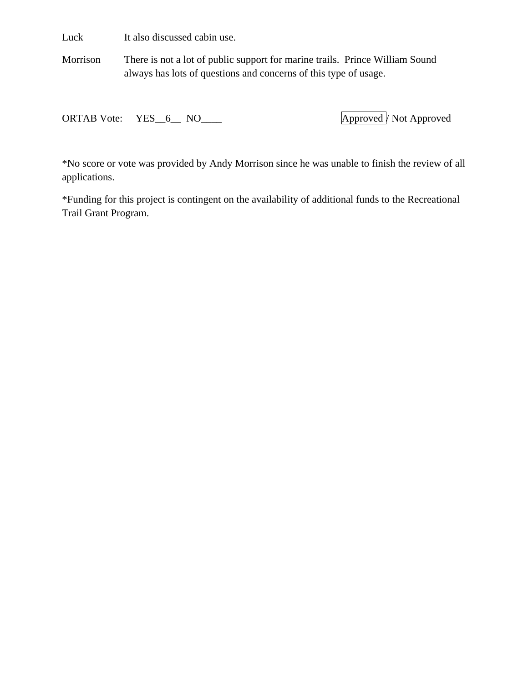Luck It also discussed cabin use.

Morrison There is not a lot of public support for marine trails. Prince William Sound always has lots of questions and concerns of this type of usage.

ORTAB Vote: YES\_6\_ NO\_\_\_\_ Approved / Not Approved

\*No score or vote was provided by Andy Morrison since he was unable to finish the review of all applications.

\*Funding for this project is contingent on the availability of additional funds to the Recreational Trail Grant Program.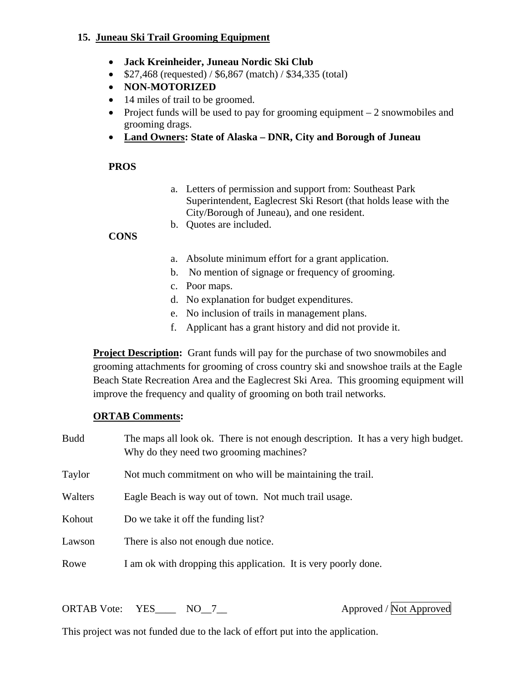#### **15. Juneau Ski Trail Grooming Equipment**

- **Jack Kreinheider, Juneau Nordic Ski Club**
- $\bullet$  \$27,468 (requested) / \$6,867 (match) / \$34,335 (total)
- **NON-MOTORIZED**
- 14 miles of trail to be groomed.
- Project funds will be used to pay for grooming equipment  $-2$  snowmobiles and grooming drags.
- **Land Owners: State of Alaska DNR, City and Borough of Juneau**

#### **PROS**

a. Letters of permission and support from: Southeast Park Superintendent, Eaglecrest Ski Resort (that holds lease with the City/Borough of Juneau), and one resident. b. Quotes are included.

#### **CONS**

- a. Absolute minimum effort for a grant application.
- b. No mention of signage or frequency of grooming.
- c. Poor maps.
- d. No explanation for budget expenditures.
- e. No inclusion of trails in management plans.
- f. Applicant has a grant history and did not provide it.

**Project Description:** Grant funds will pay for the purchase of two snowmobiles and grooming attachments for grooming of cross country ski and snowshoe trails at the Eagle Beach State Recreation Area and the Eaglecrest Ski Area. This grooming equipment will improve the frequency and quality of grooming on both trail networks.

#### **ORTAB Comments:**

| <b>Budd</b> | The maps all look ok. There is not enough description. It has a very high budget.<br>Why do they need two grooming machines? |
|-------------|------------------------------------------------------------------------------------------------------------------------------|
| Taylor      | Not much commitment on who will be maintaining the trail.                                                                    |
| Walters     | Eagle Beach is way out of town. Not much trail usage.                                                                        |
| Kohout      | Do we take it off the funding list?                                                                                          |
| Lawson      | There is also not enough due notice.                                                                                         |
| Rowe        | I am ok with dropping this application. It is very poorly done.                                                              |

ORTAB Vote:  $YES$  NO 7 Approved / Not Approved /

This project was not funded due to the lack of effort put into the application.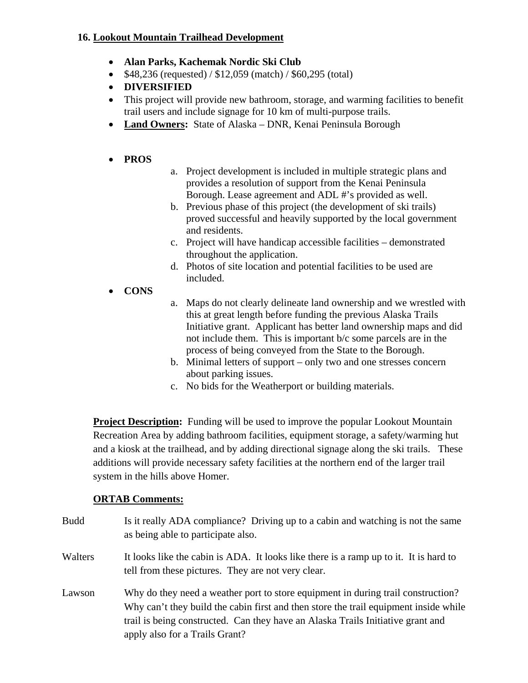#### **16. Lookout Mountain Trailhead Development**

- **Alan Parks, Kachemak Nordic Ski Club**
- $\bullet$  \$48,236 (requested) / \$12,059 (match) / \$60,295 (total)
- **DIVERSIFIED**
- This project will provide new bathroom, storage, and warming facilities to benefit trail users and include signage for 10 km of multi-purpose trails.
- **Land Owners:** State of Alaska DNR, Kenai Peninsula Borough

### **PROS**

- a. Project development is included in multiple strategic plans and provides a resolution of support from the Kenai Peninsula Borough. Lease agreement and ADL #'s provided as well.
- b. Previous phase of this project (the development of ski trails) proved successful and heavily supported by the local government and residents.
- c. Project will have handicap accessible facilities demonstrated throughout the application.
- d. Photos of site location and potential facilities to be used are included.
- **CONS**
- a. Maps do not clearly delineate land ownership and we wrestled with this at great length before funding the previous Alaska Trails Initiative grant. Applicant has better land ownership maps and did not include them. This is important b/c some parcels are in the process of being conveyed from the State to the Borough.
- b. Minimal letters of support only two and one stresses concern about parking issues.
- c. No bids for the Weatherport or building materials.

**Project Description:** Funding will be used to improve the popular Lookout Mountain Recreation Area by adding bathroom facilities, equipment storage, a safety/warming hut and a kiosk at the trailhead, and by adding directional signage along the ski trails. These additions will provide necessary safety facilities at the northern end of the larger trail system in the hills above Homer.

| <b>Budd</b> | Is it really ADA compliance? Driving up to a cabin and watching is not the same<br>as being able to participate also.                                                                                                                                                                         |
|-------------|-----------------------------------------------------------------------------------------------------------------------------------------------------------------------------------------------------------------------------------------------------------------------------------------------|
| Walters     | It looks like the cabin is ADA. It looks like there is a ramp up to it. It is hard to<br>tell from these pictures. They are not very clear.                                                                                                                                                   |
| Lawson      | Why do they need a weather port to store equipment in during trail construction?<br>Why can't they build the cabin first and then store the trail equipment inside while<br>trail is being constructed. Can they have an Alaska Trails Initiative grant and<br>apply also for a Trails Grant? |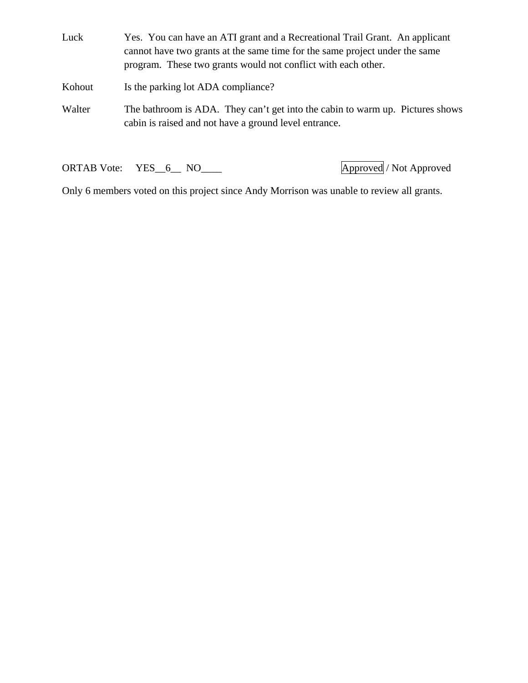Luck Yes. You can have an ATI grant and a Recreational Trail Grant. An applicant cannot have two grants at the same time for the same project under the same program. These two grants would not conflict with each other.

Kohout Is the parking lot ADA compliance?

Walter The bathroom is ADA. They can't get into the cabin to warm up. Pictures shows cabin is raised and not have a ground level entrance.

ORTAB Vote: YES\_6\_ NO\_\_\_\_ Approved / Not Approved

Only 6 members voted on this project since Andy Morrison was unable to review all grants.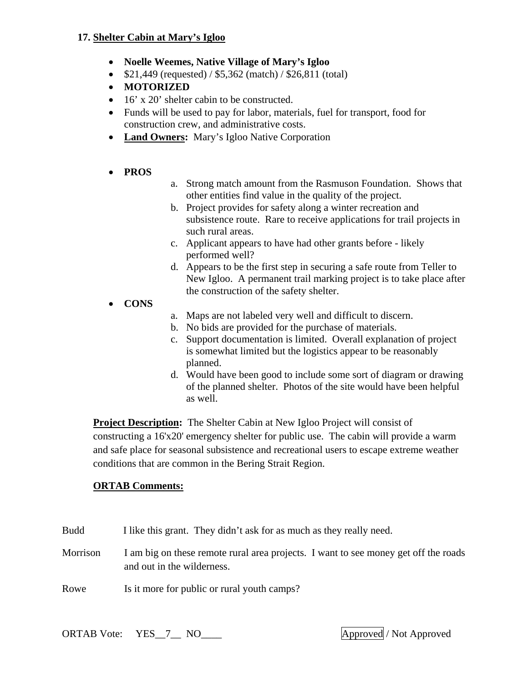#### **17. Shelter Cabin at Mary's Igloo**

- **Noelle Weemes, Native Village of Mary's Igloo**
- $$21,449$  (requested) /  $$5,362$  (match) /  $$26,811$  (total)
- **MOTORIZED**
- $\bullet$  16' x 20' shelter cabin to be constructed.
- Funds will be used to pay for labor, materials, fuel for transport, food for construction crew, and administrative costs.
- **Land Owners:** Mary's Igloo Native Corporation
- **PROS**
- a. Strong match amount from the Rasmuson Foundation. Shows that other entities find value in the quality of the project.
- b. Project provides for safety along a winter recreation and subsistence route. Rare to receive applications for trail projects in such rural areas.
- c. Applicant appears to have had other grants before likely performed well?
- d. Appears to be the first step in securing a safe route from Teller to New Igloo. A permanent trail marking project is to take place after the construction of the safety shelter.
- **CONS**
- a. Maps are not labeled very well and difficult to discern.
- b. No bids are provided for the purchase of materials.
- c. Support documentation is limited. Overall explanation of project is somewhat limited but the logistics appear to be reasonably planned.
- d. Would have been good to include some sort of diagram or drawing of the planned shelter. Photos of the site would have been helpful as well.

**Project Description:** The Shelter Cabin at New Igloo Project will consist of constructing a 16'x20' emergency shelter for public use. The cabin will provide a warm and safe place for seasonal subsistence and recreational users to escape extreme weather conditions that are common in the Bering Strait Region.

#### **ORTAB Comments:**

- Budd I like this grant. They didn't ask for as much as they really need.
- Morrison I am big on these remote rural area projects. I want to see money get off the roads and out in the wilderness.
- Rowe Is it more for public or rural youth camps?

ORTAB Vote: YES\_7\_\_ NO\_\_\_\_ Approved / Not Approved / Not Approved / Not Approved / Not Approved / Not Approved / Not Approved / Not Approved / Not Approved / Not Approved / Not Approved / Not Approved / Not Approved / Not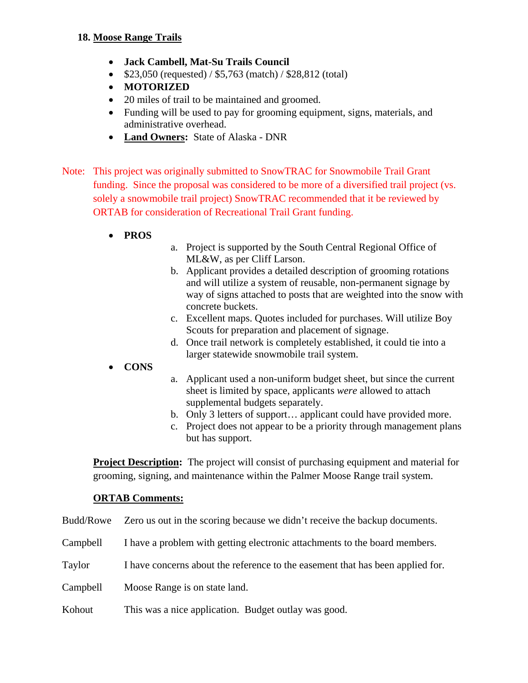- **Jack Cambell, Mat-Su Trails Council**
- $$23,050$  (requested) /  $$5,763$  (match) /  $$28,812$  (total)
- **MOTORIZED**
- 20 miles of trail to be maintained and groomed.
- Funding will be used to pay for grooming equipment, signs, materials, and administrative overhead.
- **Land Owners:** State of Alaska DNR
- Note: This project was originally submitted to SnowTRAC for Snowmobile Trail Grant funding. Since the proposal was considered to be more of a diversified trail project (vs. solely a snowmobile trail project) SnowTRAC recommended that it be reviewed by ORTAB for consideration of Recreational Trail Grant funding.
	- **PROS**
- a. Project is supported by the South Central Regional Office of ML&W, as per Cliff Larson.
- b. Applicant provides a detailed description of grooming rotations and will utilize a system of reusable, non-permanent signage by way of signs attached to posts that are weighted into the snow with concrete buckets.
- c. Excellent maps. Quotes included for purchases. Will utilize Boy Scouts for preparation and placement of signage.
- d. Once trail network is completely established, it could tie into a larger statewide snowmobile trail system.
- **CONS**
- a. Applicant used a non-uniform budget sheet, but since the current sheet is limited by space, applicants *were* allowed to attach supplemental budgets separately.
- b. Only 3 letters of support… applicant could have provided more.
- c. Project does not appear to be a priority through management plans but has support.

**Project Description:** The project will consist of purchasing equipment and material for grooming, signing, and maintenance within the Palmer Moose Range trail system.

- Budd/Rowe Zero us out in the scoring because we didn't receive the backup documents.
- Campbell I have a problem with getting electronic attachments to the board members.
- Taylor I have concerns about the reference to the easement that has been applied for.
- Campbell Moose Range is on state land.
- Kohout This was a nice application. Budget outlay was good.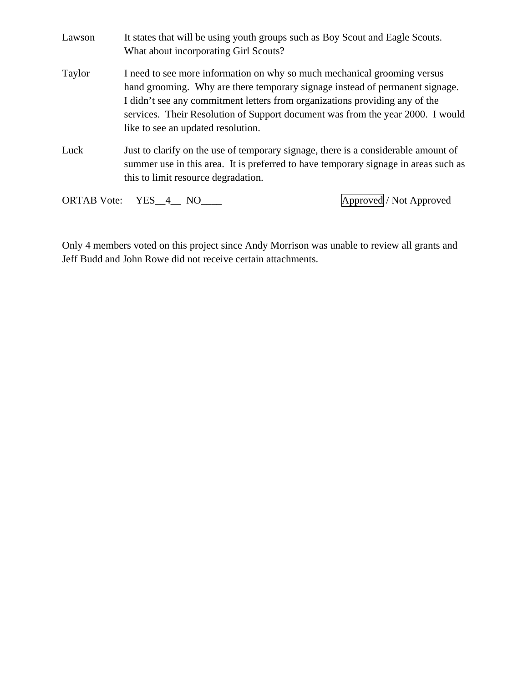| Lawson | It states that will be using youth groups such as Boy Scout and Eagle Scouts.<br>What about incorporating Girl Scouts?                                                                                                                                                                                                                                          |                         |
|--------|-----------------------------------------------------------------------------------------------------------------------------------------------------------------------------------------------------------------------------------------------------------------------------------------------------------------------------------------------------------------|-------------------------|
| Taylor | I need to see more information on why so much mechanical grooming versus<br>hand grooming. Why are there temporary signage instead of permanent signage.<br>I didn't see any commitment letters from organizations providing any of the<br>services. Their Resolution of Support document was from the year 2000. I would<br>like to see an updated resolution. |                         |
| Luck   | Just to clarify on the use of temporary signage, there is a considerable amount of<br>summer use in this area. It is preferred to have temporary signage in areas such as<br>this to limit resource degradation.                                                                                                                                                |                         |
|        | ORTAB Vote: YES 4 NO                                                                                                                                                                                                                                                                                                                                            | Approved / Not Approved |

Only 4 members voted on this project since Andy Morrison was unable to review all grants and Jeff Budd and John Rowe did not receive certain attachments.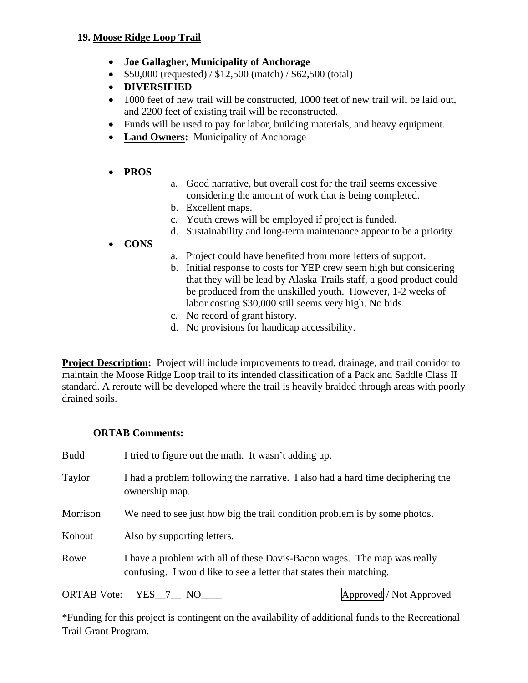#### **19. Moose Ridge Loop Trail**

- **Joe Gallagher, Municipality of Anchorage**
- $\bullet$  \$50,000 (requested) / \$12,500 (match) / \$62,500 (total)
- **DIVERSIFIED**
- 1000 feet of new trail will be constructed, 1000 feet of new trail will be laid out, and 2200 feet of existing trail will be reconstructed.
- Funds will be used to pay for labor, building materials, and heavy equipment.
- **Land Owners:** Municipality of Anchorage
- **PROS**
- a. Good narrative, but overall cost for the trail seems excessive considering the amount of work that is being completed.
- b. Excellent maps.
- c. Youth crews will be employed if project is funded.
- d. Sustainability and long-term maintenance appear to be a priority.

#### **CONS**

- a. Project could have benefited from more letters of support.
- b. Initial response to costs for YEP crew seem high but considering that they will be lead by Alaska Trails staff, a good product could be produced from the unskilled youth. However, 1-2 weeks of labor costing \$30,000 still seems very high. No bids.
- c. No record of grant history.
- d. No provisions for handicap accessibility.

**Project Description:** Project will include improvements to tread, drainage, and trail corridor to maintain the Moose Ridge Loop trail to its intended classification of a Pack and Saddle Class II standard. A reroute will be developed where the trail is heavily braided through areas with poorly drained soils.

#### **ORTAB Comments:**

| <b>Budd</b> | I tried to figure out the math. It wasn't adding up.                                                                                            |
|-------------|-------------------------------------------------------------------------------------------------------------------------------------------------|
| Taylor      | I had a problem following the narrative. I also had a hard time deciphering the<br>ownership map.                                               |
| Morrison    | We need to see just how big the trail condition problem is by some photos.                                                                      |
| Kohout      | Also by supporting letters.                                                                                                                     |
| Rowe        | I have a problem with all of these Davis-Bacon wages. The map was really<br>confusing. I would like to see a letter that states their matching. |
|             |                                                                                                                                                 |

ORTAB Vote: YES 7 NO Approved / Not Approved / Not Approved in the set of  $\Delta p$  approved / Not Approved in the set of  $\Delta p$  and  $\Delta p$  and  $\Delta p$  and  $\Delta p$  and  $\Delta p$  and  $\Delta p$  and  $\Delta p$  and  $\Delta p$  and  $\Delta p$  and  $\Delta p$  and  $\Delta p$ 

\*Funding for this project is contingent on the availability of additional funds to the Recreational Trail Grant Program.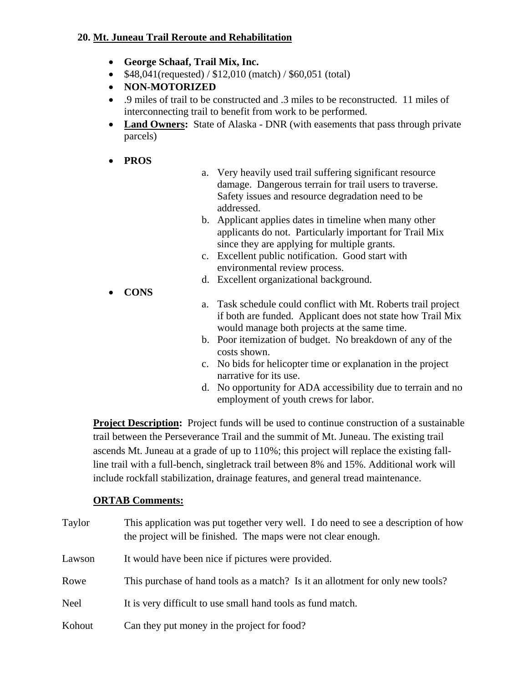#### **20. Mt. Juneau Trail Reroute and Rehabilitation**

- **George Schaaf, Trail Mix, Inc.**
- $\bullet$  \$48,041(requested) / \$12,010 (match) / \$60,051 (total)
- **NON-MOTORIZED**
- .9 miles of trail to be constructed and .3 miles to be reconstructed. 11 miles of interconnecting trail to benefit from work to be performed.
- Land Owners: State of Alaska DNR (with easements that pass through private parcels)
- **PROS**
- a. Very heavily used trail suffering significant resource damage. Dangerous terrain for trail users to traverse. Safety issues and resource degradation need to be addressed.
- b. Applicant applies dates in timeline when many other applicants do not. Particularly important for Trail Mix since they are applying for multiple grants.
- c. Excellent public notification. Good start with environmental review process.
- d. Excellent organizational background.
- **CONS**
- a. Task schedule could conflict with Mt. Roberts trail project if both are funded. Applicant does not state how Trail Mix would manage both projects at the same time.
- b. Poor itemization of budget. No breakdown of any of the costs shown.
- c. No bids for helicopter time or explanation in the project narrative for its use.
- d. No opportunity for ADA accessibility due to terrain and no employment of youth crews for labor.

**Project Description:** Project funds will be used to continue construction of a sustainable trail between the Perseverance Trail and the summit of Mt. Juneau. The existing trail ascends Mt. Juneau at a grade of up to 110%; this project will replace the existing fallline trail with a full-bench, singletrack trail between 8% and 15%. Additional work will include rockfall stabilization, drainage features, and general tread maintenance.

| Taylor      | This application was put together very well. I do need to see a description of how<br>the project will be finished. The maps were not clear enough. |
|-------------|-----------------------------------------------------------------------------------------------------------------------------------------------------|
| Lawson      | It would have been nice if pictures were provided.                                                                                                  |
| Rowe        | This purchase of hand tools as a match? Is it an allotment for only new tools?                                                                      |
| <b>Neel</b> | It is very difficult to use small hand tools as fund match.                                                                                         |
| Kohout      | Can they put money in the project for food?                                                                                                         |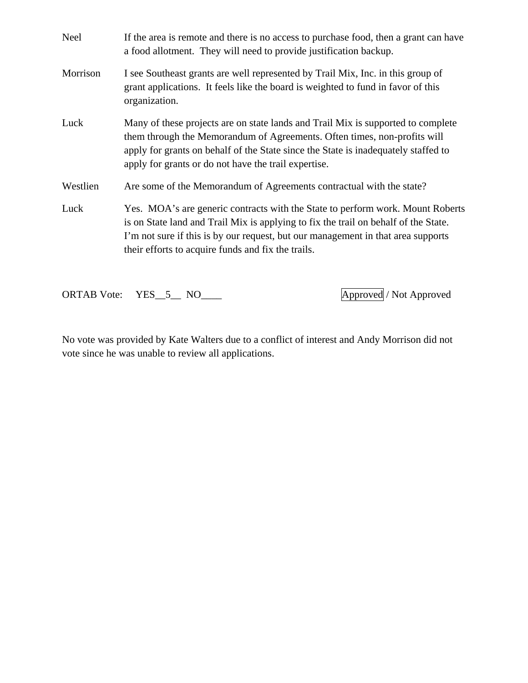| <b>Neel</b> | If the area is remote and there is no access to purchase food, then a grant can have<br>a food allotment. They will need to provide justification backup.                                                                                                                                                       |
|-------------|-----------------------------------------------------------------------------------------------------------------------------------------------------------------------------------------------------------------------------------------------------------------------------------------------------------------|
| Morrison    | I see Southeast grants are well represented by Trail Mix, Inc. in this group of<br>grant applications. It feels like the board is weighted to fund in favor of this<br>organization.                                                                                                                            |
| Luck        | Many of these projects are on state lands and Trail Mix is supported to complete<br>them through the Memorandum of Agreements. Often times, non-profits will<br>apply for grants on behalf of the State since the State is inadequately staffed to<br>apply for grants or do not have the trail expertise.      |
| Westlien    | Are some of the Memorandum of Agreements contractual with the state?                                                                                                                                                                                                                                            |
| Luck        | Yes. MOA's are generic contracts with the State to perform work. Mount Roberts<br>is on State land and Trail Mix is applying to fix the trail on behalf of the State.<br>I'm not sure if this is by our request, but our management in that area supports<br>their efforts to acquire funds and fix the trails. |

ORTAB Vote: YES\_5\_ NO\_\_\_\_ Approved / Not Approved

No vote was provided by Kate Walters due to a conflict of interest and Andy Morrison did not vote since he was unable to review all applications.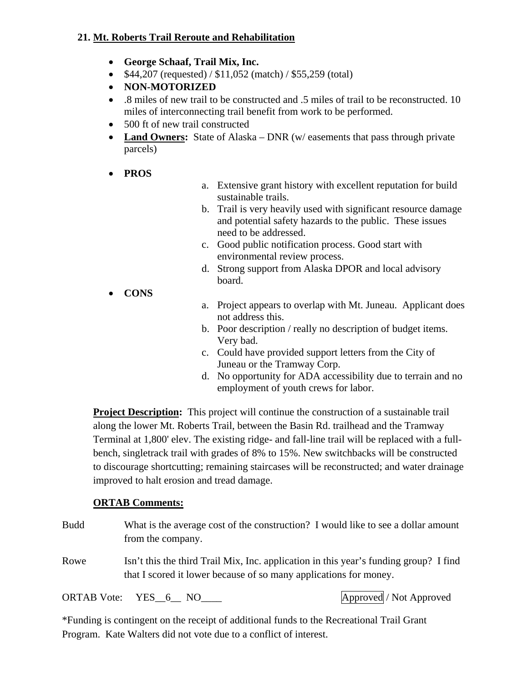### **21. Mt. Roberts Trail Reroute and Rehabilitation**

- **George Schaaf, Trail Mix, Inc.**
- $$44,207$  (requested) /  $$11,052$  (match) /  $$55,259$  (total)
- **NON-MOTORIZED**
- .8 miles of new trail to be constructed and .5 miles of trail to be reconstructed. 10 miles of interconnecting trail benefit from work to be performed.
- 500 ft of new trail constructed
- Land Owners: State of Alaska DNR (w/ easements that pass through private parcels)
- **PROS**
- a. Extensive grant history with excellent reputation for build sustainable trails.
- b. Trail is very heavily used with significant resource damage and potential safety hazards to the public. These issues need to be addressed.
- c. Good public notification process. Good start with environmental review process.
- d. Strong support from Alaska DPOR and local advisory board.
- **CONS**
- a. Project appears to overlap with Mt. Juneau. Applicant does not address this.
- b. Poor description / really no description of budget items. Very bad.
- c. Could have provided support letters from the City of Juneau or the Tramway Corp.
- d. No opportunity for ADA accessibility due to terrain and no employment of youth crews for labor.

**Project Description:** This project will continue the construction of a sustainable trail along the lower Mt. Roberts Trail, between the Basin Rd. trailhead and the Tramway Terminal at 1,800' elev. The existing ridge- and fall-line trail will be replaced with a fullbench, singletrack trail with grades of 8% to 15%. New switchbacks will be constructed to discourage shortcutting; remaining staircases will be reconstructed; and water drainage improved to halt erosion and tread damage.

### **ORTAB Comments:**

| Budd | What is the average cost of the construction? I would like to see a dollar amount<br>from the company.                                                     |                         |
|------|------------------------------------------------------------------------------------------------------------------------------------------------------------|-------------------------|
| Rowe | Isn't this the third Trail Mix, Inc. application in this year's funding group? I find<br>that I scored it lower because of so many applications for money. |                         |
|      | ORTAB Vote: YES 6 NO                                                                                                                                       | Approved / Not Approved |

\*Funding is contingent on the receipt of additional funds to the Recreational Trail Grant Program. Kate Walters did not vote due to a conflict of interest.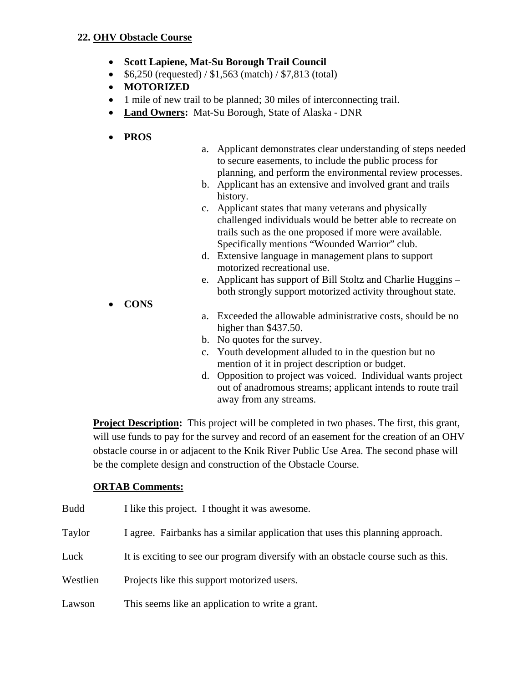#### **22. OHV Obstacle Course**

- **Scott Lapiene, Mat-Su Borough Trail Council**
- $$6,250$  (requested) /  $$1,563$  (match) /  $$7,813$  (total)
- **MOTORIZED**
- 1 mile of new trail to be planned; 30 miles of interconnecting trail.
- **Land Owners:** Mat-Su Borough, State of Alaska DNR
- **PROS**
- a. Applicant demonstrates clear understanding of steps needed to secure easements, to include the public process for planning, and perform the environmental review processes.
- b. Applicant has an extensive and involved grant and trails history.
- c. Applicant states that many veterans and physically challenged individuals would be better able to recreate on trails such as the one proposed if more were available. Specifically mentions "Wounded Warrior" club.
- d. Extensive language in management plans to support motorized recreational use.
- e. Applicant has support of Bill Stoltz and Charlie Huggins both strongly support motorized activity throughout state.
- **CONS**
- a. Exceeded the allowable administrative costs, should be no higher than \$437.50.
- b. No quotes for the survey.
- c. Youth development alluded to in the question but no mention of it in project description or budget.
- d. Opposition to project was voiced. Individual wants project out of anadromous streams; applicant intends to route trail away from any streams.

**Project Description:** This project will be completed in two phases. The first, this grant, will use funds to pay for the survey and record of an easement for the creation of an OHV obstacle course in or adjacent to the Knik River Public Use Area. The second phase will be the complete design and construction of the Obstacle Course.

| <b>Budd</b> | I like this project. I thought it was awesome.                                    |
|-------------|-----------------------------------------------------------------------------------|
| Taylor      | I agree. Fairbanks has a similar application that uses this planning approach.    |
| Luck        | It is exciting to see our program diversify with an obstacle course such as this. |
| Westlien    | Projects like this support motorized users.                                       |
| Lawson      | This seems like an application to write a grant.                                  |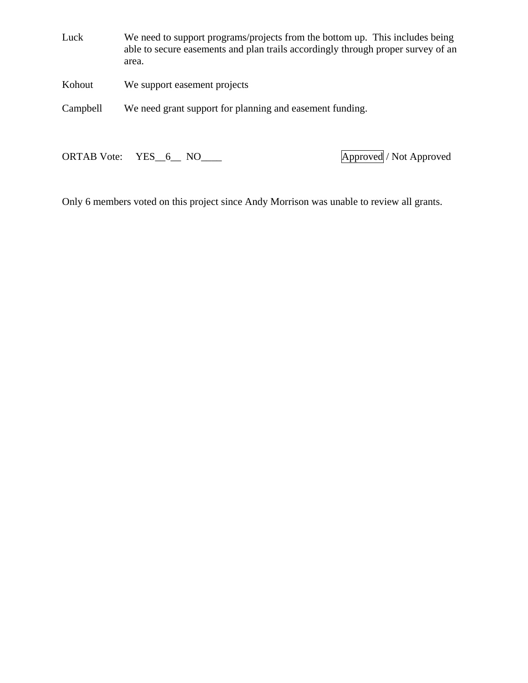Luck We need to support programs/projects from the bottom up. This includes being able to secure easements and plan trails accordingly through proper survey of an area.

Kohout We support easement projects

Campbell We need grant support for planning and easement funding.

ORTAB Vote: YES\_6\_ NO\_\_\_\_ Approved / Not Approved

Only 6 members voted on this project since Andy Morrison was unable to review all grants.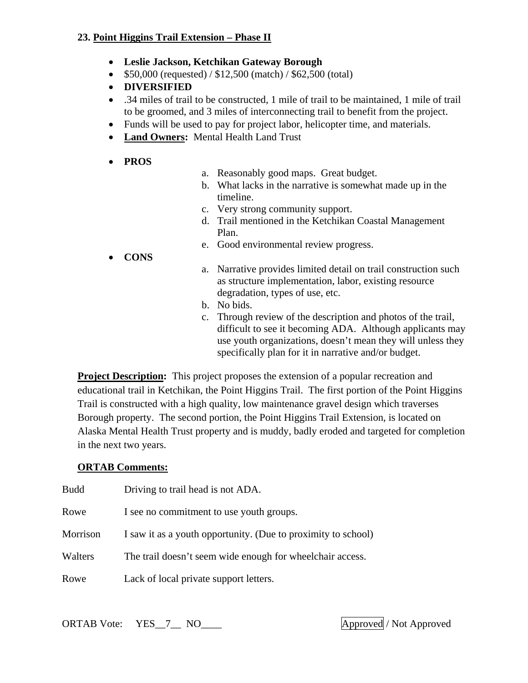#### **23. Point Higgins Trail Extension – Phase II**

- **Leslie Jackson, Ketchikan Gateway Borough**
- $\bullet$  \$50,000 (requested) / \$12,500 (match) / \$62,500 (total)
- **DIVERSIFIED**
- .34 miles of trail to be constructed, 1 mile of trail to be maintained, 1 mile of trail to be groomed, and 3 miles of interconnecting trail to benefit from the project.
- Funds will be used to pay for project labor, helicopter time, and materials.
- **Land Owners:** Mental Health Land Trust
- **PROS**
- a. Reasonably good maps. Great budget.
- b. What lacks in the narrative is somewhat made up in the timeline.
- c. Very strong community support.
- d. Trail mentioned in the Ketchikan Coastal Management Plan.
- e. Good environmental review progress.
- **CONS**
- a. Narrative provides limited detail on trail construction such as structure implementation, labor, existing resource degradation, types of use, etc.
- b. No bids.
- c. Through review of the description and photos of the trail, difficult to see it becoming ADA. Although applicants may use youth organizations, doesn't mean they will unless they specifically plan for it in narrative and/or budget.

**Project Description:** This project proposes the extension of a popular recreation and educational trail in Ketchikan, the Point Higgins Trail. The first portion of the Point Higgins Trail is constructed with a high quality, low maintenance gravel design which traverses Borough property. The second portion, the Point Higgins Trail Extension, is located on Alaska Mental Health Trust property and is muddy, badly eroded and targeted for completion in the next two years.

### **ORTAB Comments:**

| Budd     | Driving to trail head is not ADA.                             |
|----------|---------------------------------------------------------------|
| Rowe     | I see no commitment to use youth groups.                      |
| Morrison | I saw it as a youth opportunity. (Due to proximity to school) |
| Walters  | The trail doesn't seem wide enough for wheelchair access.     |
| Rowe     | Lack of local private support letters.                        |

ORTAB Vote: YES\_7\_\_ NO\_\_\_\_ Approved / Not Approved / Not Approved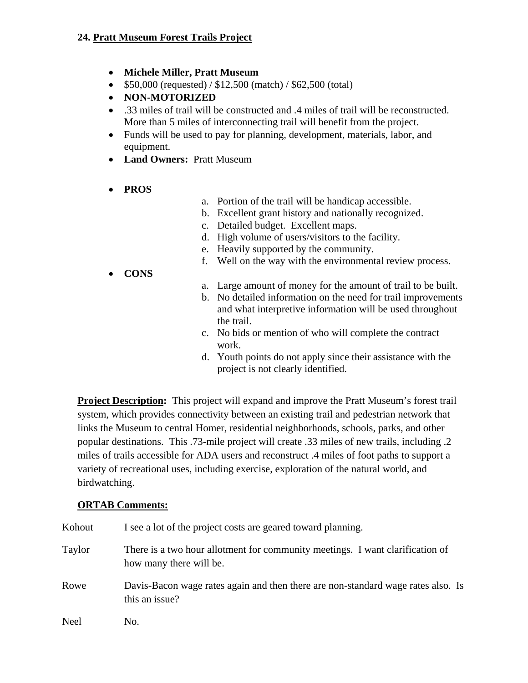### **24. Pratt Museum Forest Trails Project**

- **Michele Miller, Pratt Museum**
- $\bullet$  \$50,000 (requested) / \$12,500 (match) / \$62,500 (total)
- **NON-MOTORIZED**
- .33 miles of trail will be constructed and .4 miles of trail will be reconstructed. More than 5 miles of interconnecting trail will benefit from the project.
- Funds will be used to pay for planning, development, materials, labor, and equipment.
- **Land Owners:** Pratt Museum
- **PROS**
- a. Portion of the trail will be handicap accessible.
- b. Excellent grant history and nationally recognized.
- c. Detailed budget. Excellent maps.
- d. High volume of users/visitors to the facility.
- e. Heavily supported by the community.
- f. Well on the way with the environmental review process.
- **CONS**
- a. Large amount of money for the amount of trail to be built.
- b. No detailed information on the need for trail improvements and what interpretive information will be used throughout the trail.
- c. No bids or mention of who will complete the contract work.
- d. Youth points do not apply since their assistance with the project is not clearly identified.

**Project Description:** This project will expand and improve the Pratt Museum's forest trail system, which provides connectivity between an existing trail and pedestrian network that links the Museum to central Homer, residential neighborhoods, schools, parks, and other popular destinations. This .73-mile project will create .33 miles of new trails, including .2 miles of trails accessible for ADA users and reconstruct .4 miles of foot paths to support a variety of recreational uses, including exercise, exploration of the natural world, and birdwatching.

| Kohout | I see a lot of the project costs are geared toward planning.                                             |
|--------|----------------------------------------------------------------------------------------------------------|
| Taylor | There is a two hour allotment for community meetings. I want clarification of<br>how many there will be. |
| Rowe   | Davis-Bacon wage rates again and then there are non-standard wage rates also. Is<br>this an issue?       |
| Neel   | No.                                                                                                      |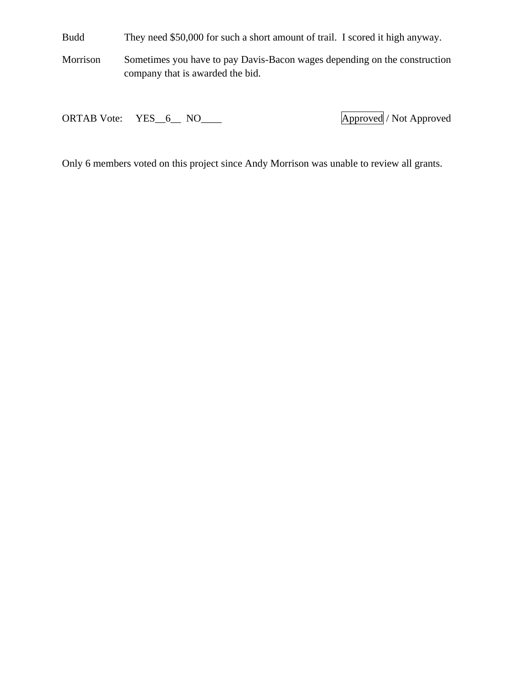Budd They need \$50,000 for such a short amount of trail. I scored it high anyway.

Morrison Sometimes you have to pay Davis-Bacon wages depending on the construction company that is awarded the bid.

ORTAB Vote: YES\_6\_ NO\_\_\_\_ Approved / Not Approved

Only 6 members voted on this project since Andy Morrison was unable to review all grants.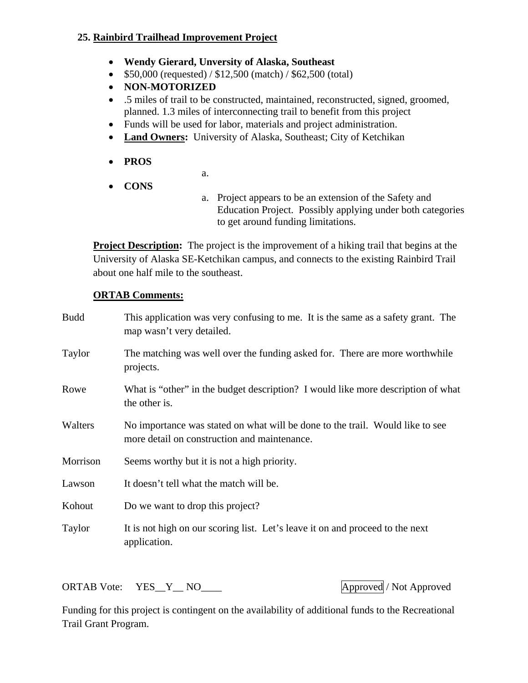### **25. Rainbird Trailhead Improvement Project**

- **Wendy Gierard, Unversity of Alaska, Southeast**
- $\bullet$  \$50,000 (requested) / \$12,500 (match) / \$62,500 (total)
- **NON-MOTORIZED**
- .5 miles of trail to be constructed, maintained, reconstructed, signed, groomed, planned. 1.3 miles of interconnecting trail to benefit from this project
- Funds will be used for labor, materials and project administration.
- **Land Owners:** University of Alaska, Southeast; City of Ketchikan
- **PROS**
- a.
- **CONS**
- a. Project appears to be an extension of the Safety and Education Project. Possibly applying under both categories to get around funding limitations.

**Project Description:** The project is the improvement of a hiking trail that begins at the University of Alaska SE-Ketchikan campus, and connects to the existing Rainbird Trail about one half mile to the southeast.

### **ORTAB Comments:**

| <b>Budd</b> | This application was very confusing to me. It is the same as a safety grant. The<br>map wasn't very detailed.                 |
|-------------|-------------------------------------------------------------------------------------------------------------------------------|
| Taylor      | The matching was well over the funding asked for. There are more worthwhile<br>projects.                                      |
| Rowe        | What is "other" in the budget description? I would like more description of what<br>the other is.                             |
| Walters     | No importance was stated on what will be done to the trail. Would like to see<br>more detail on construction and maintenance. |
| Morrison    | Seems worthy but it is not a high priority.                                                                                   |
| Lawson      | It doesn't tell what the match will be.                                                                                       |
| Kohout      | Do we want to drop this project?                                                                                              |
| Taylor      | It is not high on our scoring list. Let's leave it on and proceed to the next<br>application.                                 |

ORTAB Vote: YES\_Y\_NO\_\_\_ Approved / Not Approved

Funding for this project is contingent on the availability of additional funds to the Recreational Trail Grant Program.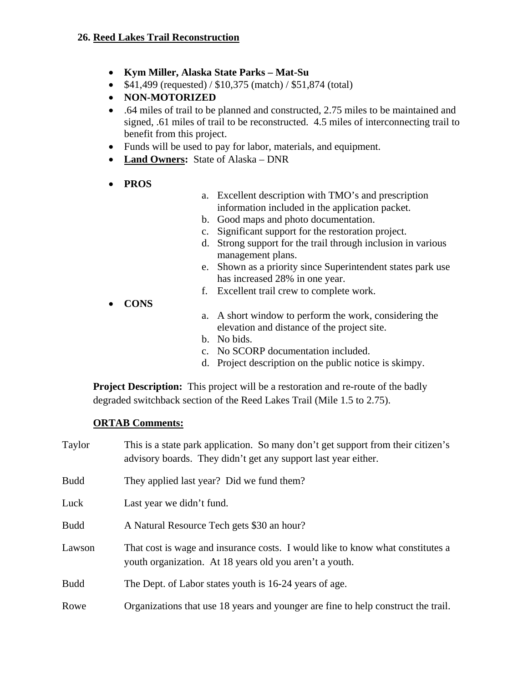- **Kym Miller, Alaska State Parks Mat-Su**
- $$41,499$  (requested) /  $$10,375$  (match) /  $$51,874$  (total)
- **NON-MOTORIZED**
- .64 miles of trail to be planned and constructed, 2.75 miles to be maintained and signed, .61 miles of trail to be reconstructed. 4.5 miles of interconnecting trail to benefit from this project.
- Funds will be used to pay for labor, materials, and equipment.
- **Land Owners:** State of Alaska DNR
- **PROS**
- a. Excellent description with TMO's and prescription information included in the application packet.
- b. Good maps and photo documentation.
- c. Significant support for the restoration project.
- d. Strong support for the trail through inclusion in various management plans.
- e. Shown as a priority since Superintendent states park use has increased 28% in one year.
- f. Excellent trail crew to complete work.
- **CONS**
- a. A short window to perform the work, considering the elevation and distance of the project site.
- b. No bids.
- c. No SCORP documentation included.
- d. Project description on the public notice is skimpy.

**Project Description:** This project will be a restoration and re-route of the badly degraded switchback section of the Reed Lakes Trail (Mile 1.5 to 2.75).

| Taylor      | This is a state park application. So many don't get support from their citizen's<br>advisory boards. They didn't get any support last year either. |
|-------------|----------------------------------------------------------------------------------------------------------------------------------------------------|
| <b>Budd</b> | They applied last year? Did we fund them?                                                                                                          |
| Luck        | Last year we didn't fund.                                                                                                                          |
| <b>Budd</b> | A Natural Resource Tech gets \$30 an hour?                                                                                                         |
| Lawson      | That cost is wage and insurance costs. I would like to know what constitutes a<br>youth organization. At 18 years old you aren't a youth.          |
| <b>Budd</b> | The Dept. of Labor states youth is 16-24 years of age.                                                                                             |
| Rowe        | Organizations that use 18 years and younger are fine to help construct the trail.                                                                  |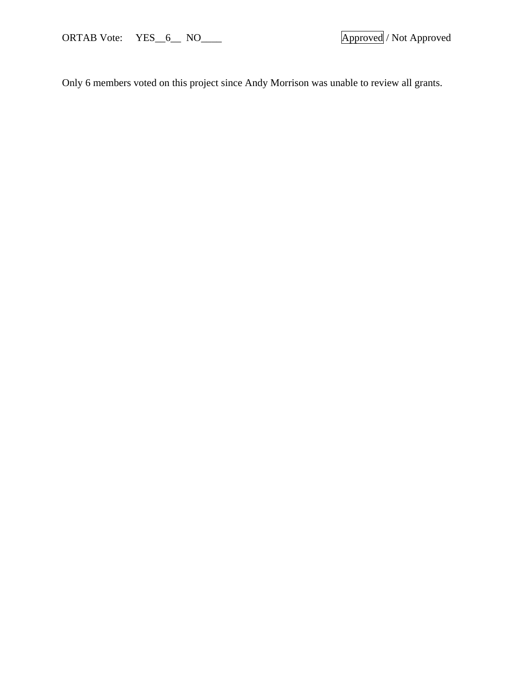ORTAB Vote: YES\_6\_ NO\_\_\_\_ Approved / Not Approved

Only 6 members voted on this project since Andy Morrison was unable to review all grants.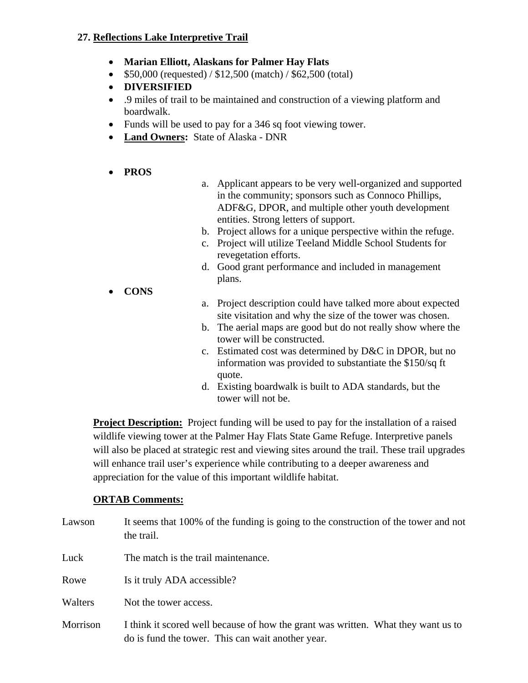### **27. Reflections Lake Interpretive Trail**

- **Marian Elliott, Alaskans for Palmer Hay Flats**
- $\bullet$  \$50,000 (requested) / \$12,500 (match) / \$62,500 (total)
- **DIVERSIFIED**
- .9 miles of trail to be maintained and construction of a viewing platform and boardwalk.
- Funds will be used to pay for a 346 sq foot viewing tower.
- **Land Owners:** State of Alaska DNR
- **PROS**
- a. Applicant appears to be very well-organized and supported in the community; sponsors such as Connoco Phillips, ADF&G, DPOR, and multiple other youth development entities. Strong letters of support.
- b. Project allows for a unique perspective within the refuge.
- c. Project will utilize Teeland Middle School Students for revegetation efforts.
- d. Good grant performance and included in management plans.
- **CONS**
- a. Project description could have talked more about expected site visitation and why the size of the tower was chosen.
- b. The aerial maps are good but do not really show where the tower will be constructed.
- c. Estimated cost was determined by D&C in DPOR, but no information was provided to substantiate the \$150/sq ft quote.
- d. Existing boardwalk is built to ADA standards, but the tower will not be.

**Project Description:** Project funding will be used to pay for the installation of a raised wildlife viewing tower at the Palmer Hay Flats State Game Refuge. Interpretive panels will also be placed at strategic rest and viewing sites around the trail. These trail upgrades will enhance trail user's experience while contributing to a deeper awareness and appreciation for the value of this important wildlife habitat.

| Lawson   | It seems that 100% of the funding is going to the construction of the tower and not<br>the trail.                                      |
|----------|----------------------------------------------------------------------------------------------------------------------------------------|
| Luck     | The match is the trail maintenance.                                                                                                    |
| Rowe     | Is it truly ADA accessible?                                                                                                            |
| Walters  | Not the tower access.                                                                                                                  |
| Morrison | I think it scored well because of how the grant was written. What they want us to<br>do is fund the tower. This can wait another year. |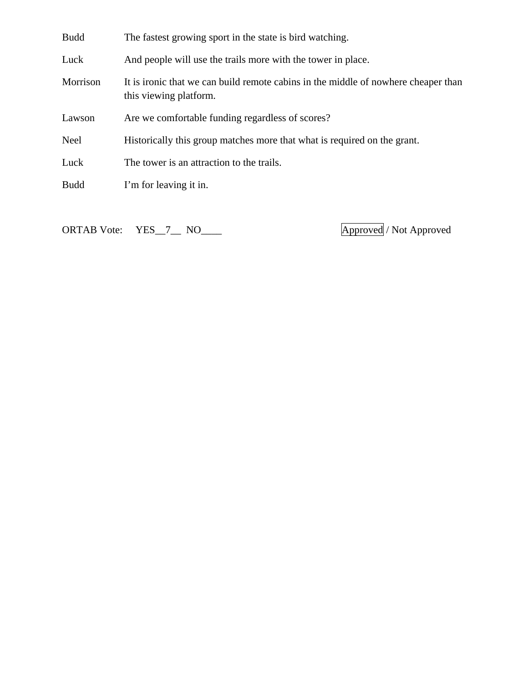| <b>Budd</b> | The fastest growing sport in the state is bird watching.                                                     |
|-------------|--------------------------------------------------------------------------------------------------------------|
| Luck        | And people will use the trails more with the tower in place.                                                 |
| Morrison    | It is ironic that we can build remote cabins in the middle of nowhere cheaper than<br>this viewing platform. |
| Lawson      | Are we comfortable funding regardless of scores?                                                             |
| Neel        | Historically this group matches more that what is required on the grant.                                     |
| Luck        | The tower is an attraction to the trails.                                                                    |
| <b>Budd</b> | I'm for leaving it in.                                                                                       |
|             |                                                                                                              |

ORTAB Vote: YES\_7\_\_ NO\_\_\_\_ **Approved** / Not Approved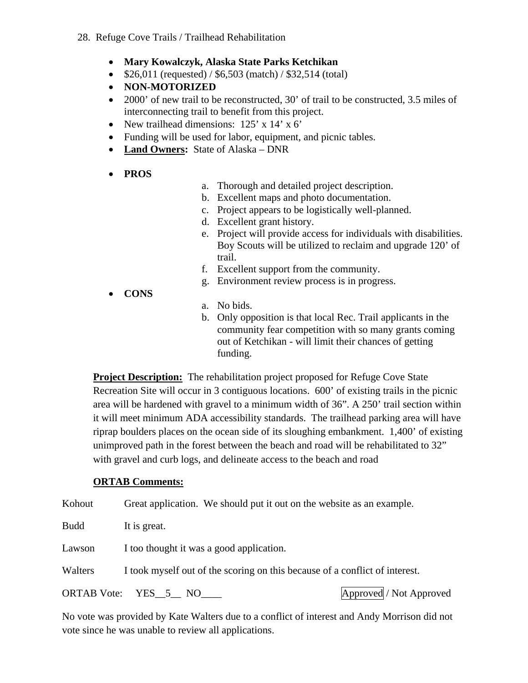- **Mary Kowalczyk, Alaska State Parks Ketchikan**
- $$26,011$  (requested) /  $$6,503$  (match) /  $$32,514$  (total)
- **NON-MOTORIZED**
- 2000' of new trail to be reconstructed, 30' of trail to be constructed, 3.5 miles of interconnecting trail to benefit from this project.
- New trailhead dimensions: 125' x 14' x 6'
- Funding will be used for labor, equipment, and picnic tables.
- **Land Owners:** State of Alaska DNR
- **PROS**
- a. Thorough and detailed project description.
- b. Excellent maps and photo documentation.
- c. Project appears to be logistically well-planned.
- d. Excellent grant history.
- e. Project will provide access for individuals with disabilities. Boy Scouts will be utilized to reclaim and upgrade 120' of trail.
- f. Excellent support from the community.
- g. Environment review process is in progress.
- **CONS**
- a. No bids.
- b. Only opposition is that local Rec. Trail applicants in the community fear competition with so many grants coming out of Ketchikan - will limit their chances of getting funding.

**Project Description:** The rehabilitation project proposed for Refuge Cove State Recreation Site will occur in 3 contiguous locations. 600' of existing trails in the picnic area will be hardened with gravel to a minimum width of 36". A 250' trail section within it will meet minimum ADA accessibility standards. The trailhead parking area will have riprap boulders places on the ocean side of its sloughing embankment. 1,400' of existing unimproved path in the forest between the beach and road will be rehabilitated to 32" with gravel and curb logs, and delineate access to the beach and road

#### **ORTAB Comments:**

Kohout Great application. We should put it out on the website as an example.

Budd It is great.

Lawson I too thought it was a good application.

Walters I took myself out of the scoring on this because of a conflict of interest.

ORTAB Vote: YES 5 NO **Approved** / Not Approved

No vote was provided by Kate Walters due to a conflict of interest and Andy Morrison did not vote since he was unable to review all applications.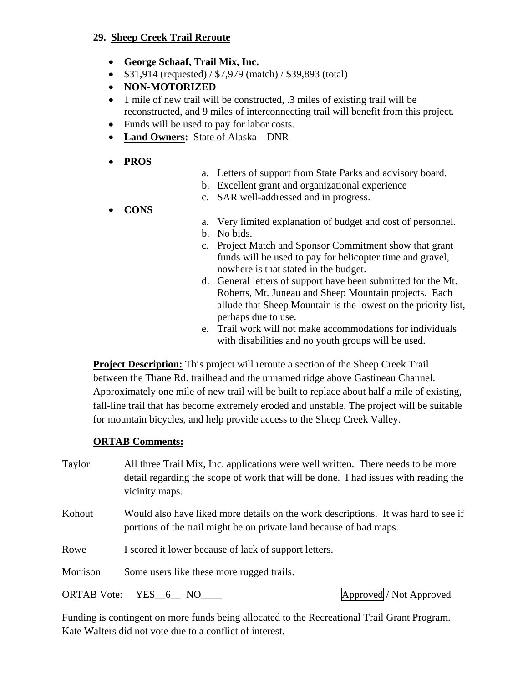#### **29. Sheep Creek Trail Reroute**

- **George Schaaf, Trail Mix, Inc.**
- $$31,914$  (requested) /  $$7,979$  (match) /  $$39,893$  (total)
- **NON-MOTORIZED**
- 1 mile of new trail will be constructed, .3 miles of existing trail will be reconstructed, and 9 miles of interconnecting trail will benefit from this project.
- Funds will be used to pay for labor costs.
- **Land Owners:** State of Alaska DNR
- **PROS**
- a. Letters of support from State Parks and advisory board.
- b. Excellent grant and organizational experience
- c. SAR well-addressed and in progress.
- **CONS**
- a. Very limited explanation of budget and cost of personnel.
- b. No bids.
- c. Project Match and Sponsor Commitment show that grant funds will be used to pay for helicopter time and gravel, nowhere is that stated in the budget.
- d. General letters of support have been submitted for the Mt. Roberts, Mt. Juneau and Sheep Mountain projects. Each allude that Sheep Mountain is the lowest on the priority list, perhaps due to use.
- e. Trail work will not make accommodations for individuals with disabilities and no youth groups will be used.

**Project Description:** This project will reroute a section of the Sheep Creek Trail between the Thane Rd. trailhead and the unnamed ridge above Gastineau Channel. Approximately one mile of new trail will be built to replace about half a mile of existing, fall-line trail that has become extremely eroded and unstable. The project will be suitable for mountain bicycles, and help provide access to the Sheep Creek Valley.

#### **ORTAB Comments:**

Taylor All three Trail Mix, Inc. applications were well written. There needs to be more detail regarding the scope of work that will be done. I had issues with reading the vicinity maps.

Kohout Would also have liked more details on the work descriptions. It was hard to see if portions of the trail might be on private land because of bad maps.

Rowe I scored it lower because of lack of support letters.

Morrison Some users like these more rugged trails.

ORTAB Vote: YES 6 NO Approved / Not Approved / Not Approved /

Funding is contingent on more funds being allocated to the Recreational Trail Grant Program. Kate Walters did not vote due to a conflict of interest.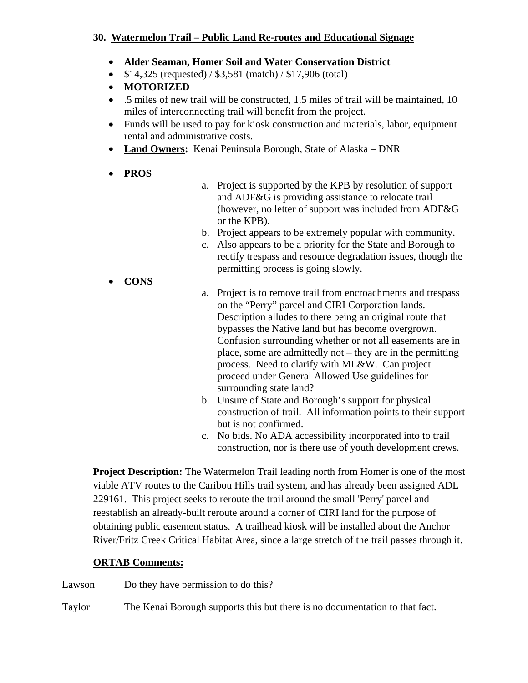#### **30. Watermelon Trail – Public Land Re-routes and Educational Signage**

- **Alder Seaman, Homer Soil and Water Conservation District**
- $$14,325$  (requested) /  $$3,581$  (match) /  $$17,906$  (total)
- **MOTORIZED**
- .5 miles of new trail will be constructed, 1.5 miles of trail will be maintained, 10 miles of interconnecting trail will benefit from the project.
- Funds will be used to pay for kiosk construction and materials, labor, equipment rental and administrative costs.
- **Land Owners:** Kenai Peninsula Borough, State of Alaska DNR
- **PROS**
- a. Project is supported by the KPB by resolution of support and ADF&G is providing assistance to relocate trail (however, no letter of support was included from ADF&G or the KPB).
- b. Project appears to be extremely popular with community.
- c. Also appears to be a priority for the State and Borough to rectify trespass and resource degradation issues, though the permitting process is going slowly.
- **CONS**
- a. Project is to remove trail from encroachments and trespass on the "Perry" parcel and CIRI Corporation lands. Description alludes to there being an original route that bypasses the Native land but has become overgrown. Confusion surrounding whether or not all easements are in place, some are admittedly not – they are in the permitting process. Need to clarify with ML&W. Can project proceed under General Allowed Use guidelines for surrounding state land?
- b. Unsure of State and Borough's support for physical construction of trail. All information points to their support but is not confirmed.
- c. No bids. No ADA accessibility incorporated into to trail construction, nor is there use of youth development crews.

**Project Description:** The Watermelon Trail leading north from Homer is one of the most viable ATV routes to the Caribou Hills trail system, and has already been assigned ADL 229161. This project seeks to reroute the trail around the small 'Perry' parcel and reestablish an already-built reroute around a corner of CIRI land for the purpose of obtaining public easement status. A trailhead kiosk will be installed about the Anchor River/Fritz Creek Critical Habitat Area, since a large stretch of the trail passes through it.

# **ORTAB Comments:**

Lawson Do they have permission to do this?

Taylor The Kenai Borough supports this but there is no documentation to that fact.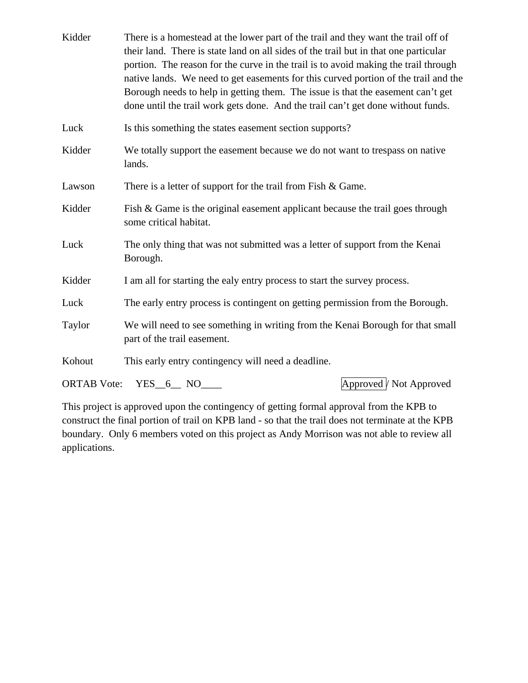| Kidder             | There is a homestead at the lower part of the trail and they want the trail off of<br>their land. There is state land on all sides of the trail but in that one particular<br>portion. The reason for the curve in the trail is to avoid making the trail through<br>native lands. We need to get easements for this curved portion of the trail and the<br>Borough needs to help in getting them. The issue is that the easement can't get<br>done until the trail work gets done. And the trail can't get done without funds. |
|--------------------|---------------------------------------------------------------------------------------------------------------------------------------------------------------------------------------------------------------------------------------------------------------------------------------------------------------------------------------------------------------------------------------------------------------------------------------------------------------------------------------------------------------------------------|
| Luck               | Is this something the states easement section supports?                                                                                                                                                                                                                                                                                                                                                                                                                                                                         |
| Kidder             | We totally support the easement because we do not want to trespass on native<br>lands.                                                                                                                                                                                                                                                                                                                                                                                                                                          |
| Lawson             | There is a letter of support for the trail from Fish $& Game$ .                                                                                                                                                                                                                                                                                                                                                                                                                                                                 |
| Kidder             | Fish & Game is the original easement applicant because the trail goes through<br>some critical habitat.                                                                                                                                                                                                                                                                                                                                                                                                                         |
| Luck               | The only thing that was not submitted was a letter of support from the Kenai<br>Borough.                                                                                                                                                                                                                                                                                                                                                                                                                                        |
| Kidder             | I am all for starting the ealy entry process to start the survey process.                                                                                                                                                                                                                                                                                                                                                                                                                                                       |
| Luck               | The early entry process is contingent on getting permission from the Borough.                                                                                                                                                                                                                                                                                                                                                                                                                                                   |
| Taylor             | We will need to see something in writing from the Kenai Borough for that small<br>part of the trail easement.                                                                                                                                                                                                                                                                                                                                                                                                                   |
| Kohout             | This early entry contingency will need a deadline.                                                                                                                                                                                                                                                                                                                                                                                                                                                                              |
| <b>ORTAB</b> Vote: | Approved / Not Approved<br>$YES_6$ NO $\_\_$                                                                                                                                                                                                                                                                                                                                                                                                                                                                                    |

This project is approved upon the contingency of getting formal approval from the KPB to construct the final portion of trail on KPB land - so that the trail does not terminate at the KPB boundary. Only 6 members voted on this project as Andy Morrison was not able to review all applications.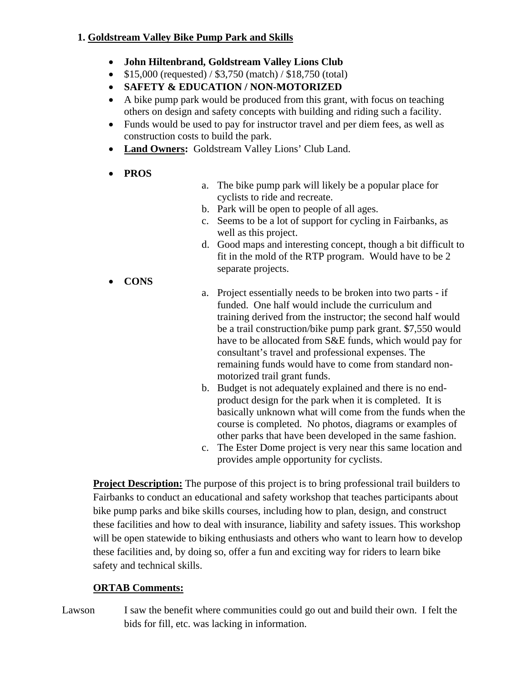### **1. Goldstream Valley Bike Pump Park and Skills**

- **John Hiltenbrand, Goldstream Valley Lions Club**
- $\bullet$  \$15,000 (requested) / \$3,750 (match) / \$18,750 (total)
- **SAFETY & EDUCATION / NON-MOTORIZED**
- A bike pump park would be produced from this grant, with focus on teaching others on design and safety concepts with building and riding such a facility.
- Funds would be used to pay for instructor travel and per diem fees, as well as construction costs to build the park.
- **Land Owners:** Goldstream Valley Lions' Club Land.
- **PROS**
- a. The bike pump park will likely be a popular place for cyclists to ride and recreate.
- b. Park will be open to people of all ages.
- c. Seems to be a lot of support for cycling in Fairbanks, as well as this project.
- d. Good maps and interesting concept, though a bit difficult to fit in the mold of the RTP program. Would have to be 2 separate projects.
- **CONS**
- a. Project essentially needs to be broken into two parts if funded. One half would include the curriculum and training derived from the instructor; the second half would be a trail construction/bike pump park grant. \$7,550 would have to be allocated from S&E funds, which would pay for consultant's travel and professional expenses. The remaining funds would have to come from standard nonmotorized trail grant funds.
- b. Budget is not adequately explained and there is no endproduct design for the park when it is completed. It is basically unknown what will come from the funds when the course is completed. No photos, diagrams or examples of other parks that have been developed in the same fashion.
- c. The Ester Dome project is very near this same location and provides ample opportunity for cyclists.

**Project Description:** The purpose of this project is to bring professional trail builders to Fairbanks to conduct an educational and safety workshop that teaches participants about bike pump parks and bike skills courses, including how to plan, design, and construct these facilities and how to deal with insurance, liability and safety issues. This workshop will be open statewide to biking enthusiasts and others who want to learn how to develop these facilities and, by doing so, offer a fun and exciting way for riders to learn bike safety and technical skills.

# **ORTAB Comments:**

Lawson I saw the benefit where communities could go out and build their own. I felt the bids for fill, etc. was lacking in information.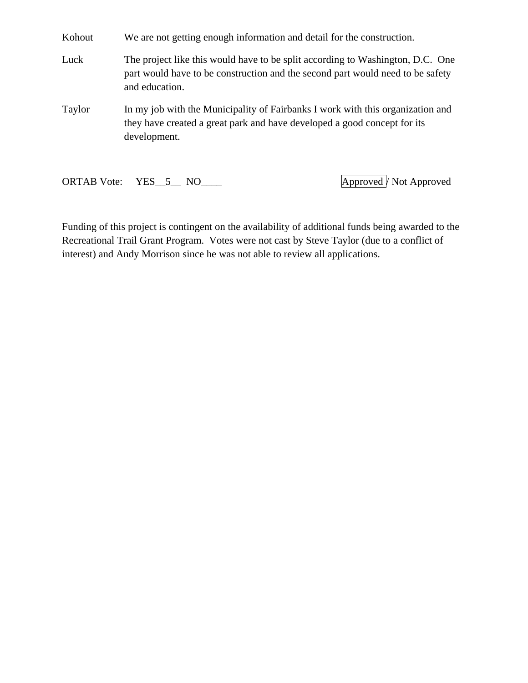Kohout We are not getting enough information and detail for the construction.

Luck The project like this would have to be split according to Washington, D.C. One part would have to be construction and the second part would need to be safety and education.

Taylor In my job with the Municipality of Fairbanks I work with this organization and they have created a great park and have developed a good concept for its development.

ORTAB Vote: YES\_5\_\_ NO\_\_\_\_ Approved <sup>2</sup> Not Approved **Approved** 

Funding of this project is contingent on the availability of additional funds being awarded to the Recreational Trail Grant Program. Votes were not cast by Steve Taylor (due to a conflict of interest) and Andy Morrison since he was not able to review all applications.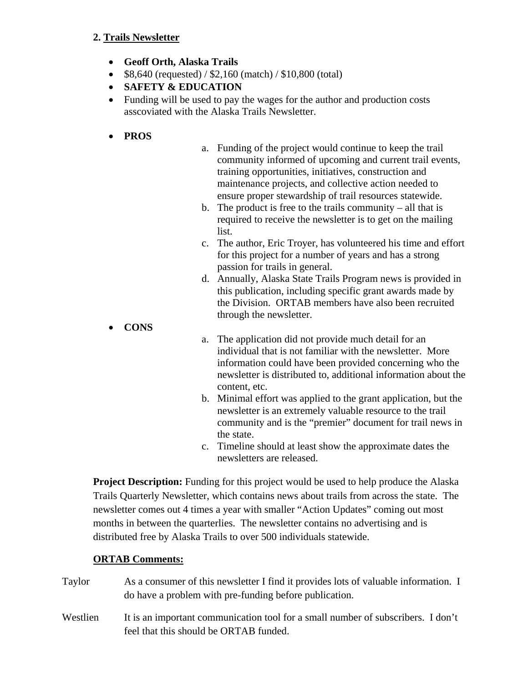#### **2. Trails Newsletter**

- **Geoff Orth, Alaska Trails**
- $\bullet$  \$8,640 (requested) / \$2,160 (match) / \$10,800 (total)
- **SAFETY & EDUCATION**
- Funding will be used to pay the wages for the author and production costs asscoviated with the Alaska Trails Newsletter.
- **PROS**
- a. Funding of the project would continue to keep the trail community informed of upcoming and current trail events, training opportunities, initiatives, construction and maintenance projects, and collective action needed to ensure proper stewardship of trail resources statewide.
- b. The product is free to the trails community all that is required to receive the newsletter is to get on the mailing list.
- c. The author, Eric Troyer, has volunteered his time and effort for this project for a number of years and has a strong passion for trails in general.
- d. Annually, Alaska State Trails Program news is provided in this publication, including specific grant awards made by the Division. ORTAB members have also been recruited through the newsletter.
- **CONS**
- a. The application did not provide much detail for an individual that is not familiar with the newsletter. More information could have been provided concerning who the newsletter is distributed to, additional information about the content, etc.
- b. Minimal effort was applied to the grant application, but the newsletter is an extremely valuable resource to the trail community and is the "premier" document for trail news in the state.
- c. Timeline should at least show the approximate dates the newsletters are released.

**Project Description:** Funding for this project would be used to help produce the Alaska Trails Quarterly Newsletter, which contains news about trails from across the state. The newsletter comes out 4 times a year with smaller "Action Updates" coming out most months in between the quarterlies. The newsletter contains no advertising and is distributed free by Alaska Trails to over 500 individuals statewide.

- Taylor As a consumer of this newsletter I find it provides lots of valuable information. I do have a problem with pre-funding before publication.
- Westlien It is an important communication tool for a small number of subscribers. I don't feel that this should be ORTAB funded.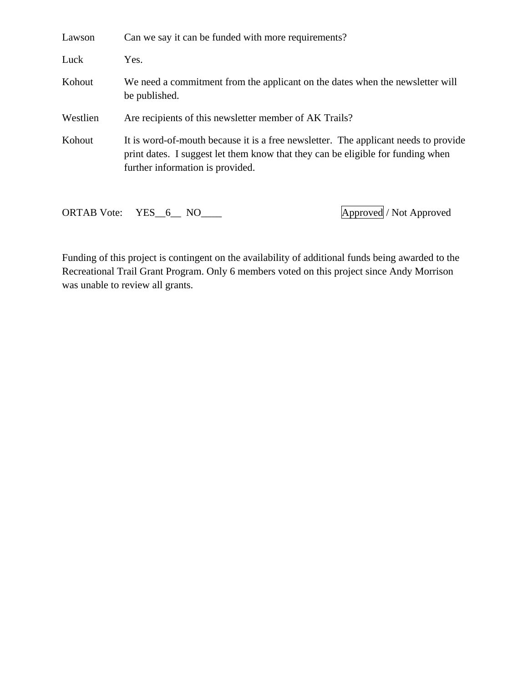| Lawson             | Can we say it can be funded with more requirements?                                                                                                                                                        |
|--------------------|------------------------------------------------------------------------------------------------------------------------------------------------------------------------------------------------------------|
| Luck               | Yes.                                                                                                                                                                                                       |
| Kohout             | We need a commitment from the applicant on the dates when the newsletter will<br>be published.                                                                                                             |
| Westlien           | Are recipients of this newsletter member of AK Trails?                                                                                                                                                     |
| Kohout             | It is word-of-mouth because it is a free newsletter. The applicant needs to provide<br>print dates. I suggest let them know that they can be eligible for funding when<br>further information is provided. |
| <b>ORTAB</b> Vote: | Approved / Not Approved<br>$YES\_6$ NO                                                                                                                                                                     |

Funding of this project is contingent on the availability of additional funds being awarded to the Recreational Trail Grant Program. Only 6 members voted on this project since Andy Morrison was unable to review all grants.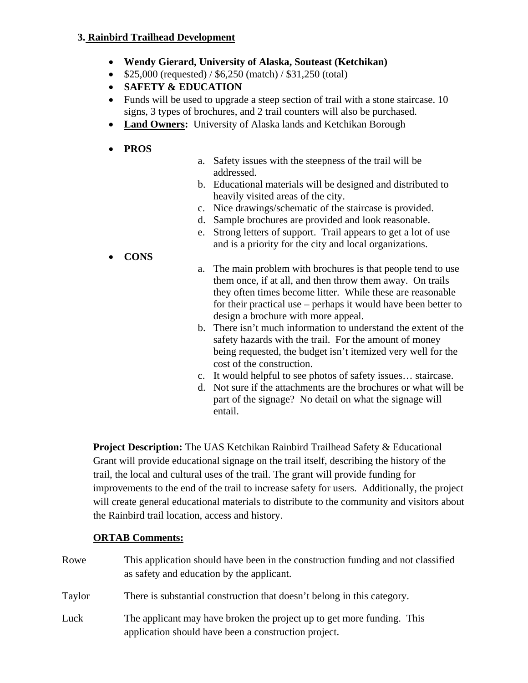#### **3. Rainbird Trailhead Development**

- **Wendy Gierard, University of Alaska, Souteast (Ketchikan)**
- $\bullet$  \$25,000 (requested) / \$6,250 (match) / \$31,250 (total)
- **SAFETY & EDUCATION**
- Funds will be used to upgrade a steep section of trail with a stone staircase. 10 signs, 3 types of brochures, and 2 trail counters will also be purchased.
- **Land Owners:** University of Alaska lands and Ketchikan Borough

#### **PROS**

- a. Safety issues with the steepness of the trail will be addressed.
- b. Educational materials will be designed and distributed to heavily visited areas of the city.
- c. Nice drawings/schematic of the staircase is provided.
- d. Sample brochures are provided and look reasonable.
- e. Strong letters of support. Trail appears to get a lot of use and is a priority for the city and local organizations.
- **CONS**
- a. The main problem with brochures is that people tend to use them once, if at all, and then throw them away. On trails they often times become litter. While these are reasonable for their practical use – perhaps it would have been better to design a brochure with more appeal.
- b. There isn't much information to understand the extent of the safety hazards with the trail. For the amount of money being requested, the budget isn't itemized very well for the cost of the construction.
- c. It would helpful to see photos of safety issues… staircase.
- d. Not sure if the attachments are the brochures or what will be part of the signage? No detail on what the signage will entail.

**Project Description:** The UAS Ketchikan Rainbird Trailhead Safety & Educational Grant will provide educational signage on the trail itself, describing the history of the trail, the local and cultural uses of the trail. The grant will provide funding for improvements to the end of the trail to increase safety for users. Additionally, the project will create general educational materials to distribute to the community and visitors about the Rainbird trail location, access and history.

### **ORTAB Comments:**

Rowe This application should have been in the construction funding and not classified as safety and education by the applicant. Taylor There is substantial construction that doesn't belong in this category. Luck The applicant may have broken the project up to get more funding. This application should have been a construction project.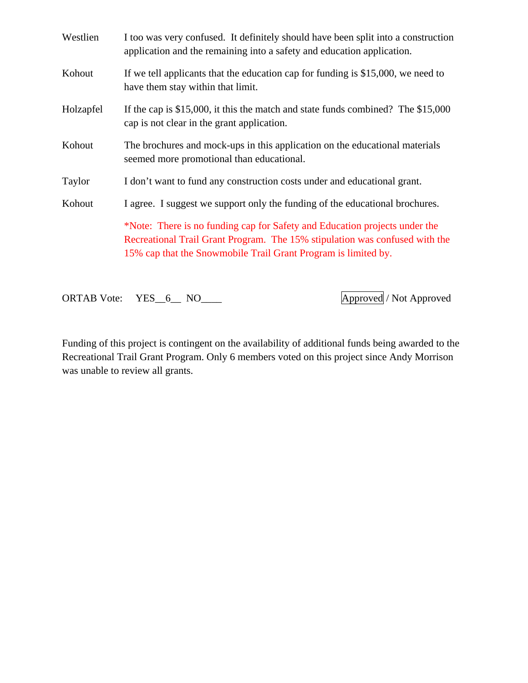| Westlien  | I too was very confused. It definitely should have been split into a construction<br>application and the remaining into a safety and education application.                                                                 |
|-----------|-----------------------------------------------------------------------------------------------------------------------------------------------------------------------------------------------------------------------------|
| Kohout    | If we tell applicants that the education cap for funding is \$15,000, we need to<br>have them stay within that limit.                                                                                                       |
| Holzapfel | If the cap is \$15,000, it this the match and state funds combined? The \$15,000<br>cap is not clear in the grant application.                                                                                              |
| Kohout    | The brochures and mock-ups in this application on the educational materials<br>seemed more promotional than educational.                                                                                                    |
| Taylor    | I don't want to fund any construction costs under and educational grant.                                                                                                                                                    |
| Kohout    | I agree. I suggest we support only the funding of the educational brochures.                                                                                                                                                |
|           | *Note: There is no funding cap for Safety and Education projects under the<br>Recreational Trail Grant Program. The 15% stipulation was confused with the<br>15% cap that the Snowmobile Trail Grant Program is limited by. |

ORTAB Vote: YES\_6\_ NO\_\_\_\_ Approved / Not Approved

Funding of this project is contingent on the availability of additional funds being awarded to the Recreational Trail Grant Program. Only 6 members voted on this project since Andy Morrison was unable to review all grants.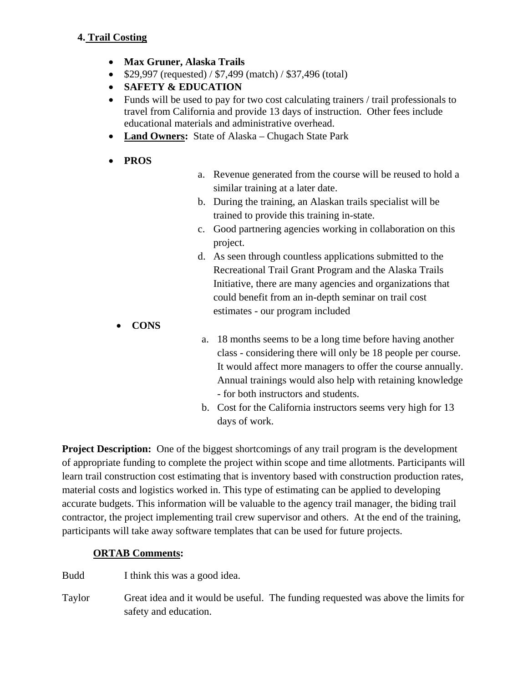- **Max Gruner, Alaska Trails**
- $$29,997$  (requested) /  $$7,499$  (match) /  $$37,496$  (total)
- **SAFETY & EDUCATION**
- Funds will be used to pay for two cost calculating trainers / trail professionals to travel from California and provide 13 days of instruction. Other fees include educational materials and administrative overhead.
- **Land Owners:** State of Alaska Chugach State Park
- **PROS**
- a. Revenue generated from the course will be reused to hold a similar training at a later date.
- b. During the training, an Alaskan trails specialist will be trained to provide this training in-state.
- c. Good partnering agencies working in collaboration on this project.
- d. As seen through countless applications submitted to the Recreational Trail Grant Program and the Alaska Trails Initiative, there are many agencies and organizations that could benefit from an in-depth seminar on trail cost estimates - our program included
- **CONS**
- a. 18 months seems to be a long time before having another class - considering there will only be 18 people per course. It would affect more managers to offer the course annually. Annual trainings would also help with retaining knowledge - for both instructors and students.
- b. Cost for the California instructors seems very high for 13 days of work.

**Project Description:** One of the biggest shortcomings of any trail program is the development of appropriate funding to complete the project within scope and time allotments. Participants will learn trail construction cost estimating that is inventory based with construction production rates, material costs and logistics worked in. This type of estimating can be applied to developing accurate budgets. This information will be valuable to the agency trail manager, the biding trail contractor, the project implementing trail crew supervisor and others. At the end of the training, participants will take away software templates that can be used for future projects.

### **ORTAB Comments:**

Budd I think this was a good idea.

Taylor Great idea and it would be useful. The funding requested was above the limits for safety and education.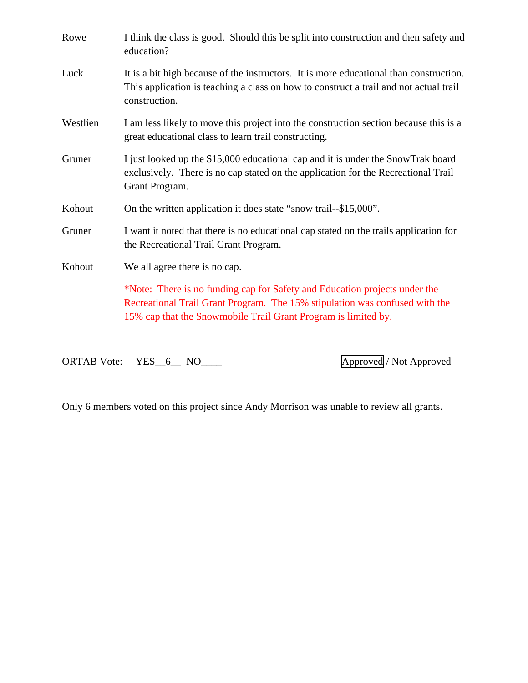| Rowe     | I think the class is good. Should this be split into construction and then safety and<br>education?                                                                                                                         |
|----------|-----------------------------------------------------------------------------------------------------------------------------------------------------------------------------------------------------------------------------|
| Luck     | It is a bit high because of the instructors. It is more educational than construction.<br>This application is teaching a class on how to construct a trail and not actual trail<br>construction.                            |
| Westlien | I am less likely to move this project into the construction section because this is a<br>great educational class to learn trail constructing.                                                                               |
| Gruner   | I just looked up the \$15,000 educational cap and it is under the SnowTrak board<br>exclusively. There is no cap stated on the application for the Recreational Trail<br>Grant Program.                                     |
| Kohout   | On the written application it does state "snow trail--\$15,000".                                                                                                                                                            |
| Gruner   | I want it noted that there is no educational cap stated on the trails application for<br>the Recreational Trail Grant Program.                                                                                              |
| Kohout   | We all agree there is no cap.                                                                                                                                                                                               |
|          | *Note: There is no funding cap for Safety and Education projects under the<br>Recreational Trail Grant Program. The 15% stipulation was confused with the<br>15% cap that the Snowmobile Trail Grant Program is limited by. |

ORTAB Vote: YES\_6\_ NO\_\_\_\_ Approved / Not Approved

Only 6 members voted on this project since Andy Morrison was unable to review all grants.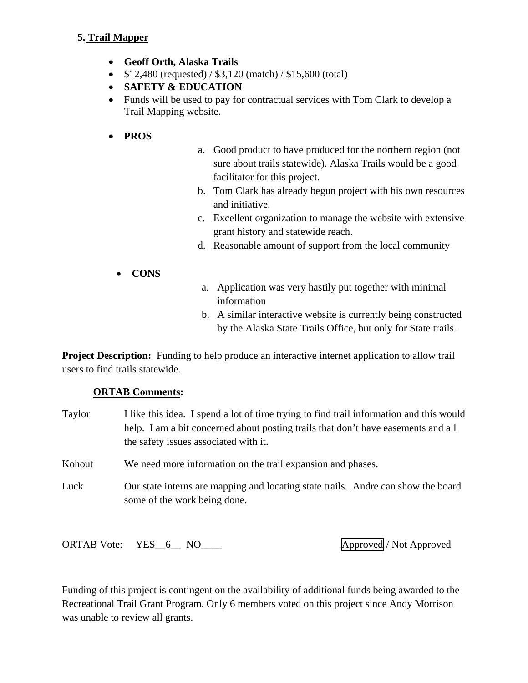#### **5. Trail Mapper**

- **Geoff Orth, Alaska Trails**
- $\bullet$  \$12,480 (requested) / \$3,120 (match) / \$15,600 (total)
- **SAFETY & EDUCATION**
- Funds will be used to pay for contractual services with Tom Clark to develop a Trail Mapping website.
- **PROS**
- a. Good product to have produced for the northern region (not sure about trails statewide). Alaska Trails would be a good facilitator for this project.
- b. Tom Clark has already begun project with his own resources and initiative.
- c. Excellent organization to manage the website with extensive grant history and statewide reach.
- d. Reasonable amount of support from the local community
- **CONS**
- a. Application was very hastily put together with minimal information
- b. A similar interactive website is currently being constructed by the Alaska State Trails Office, but only for State trails.

**Project Description:** Funding to help produce an interactive internet application to allow trail users to find trails statewide.

#### **ORTAB Comments:**

Taylor I like this idea. I spend a lot of time trying to find trail information and this would help. I am a bit concerned about posting trails that don't have easements and all the safety issues associated with it. Kohout We need more information on the trail expansion and phases. Luck Our state interns are mapping and locating state trails. Andre can show the board some of the work being done.

ORTAB Vote: YES\_6\_ NO\_\_\_\_ Approved / Not Approved / Not Approved / Not Approved / Not Approved / Not Approved  $\sqrt{P}$ 

Funding of this project is contingent on the availability of additional funds being awarded to the Recreational Trail Grant Program. Only 6 members voted on this project since Andy Morrison was unable to review all grants.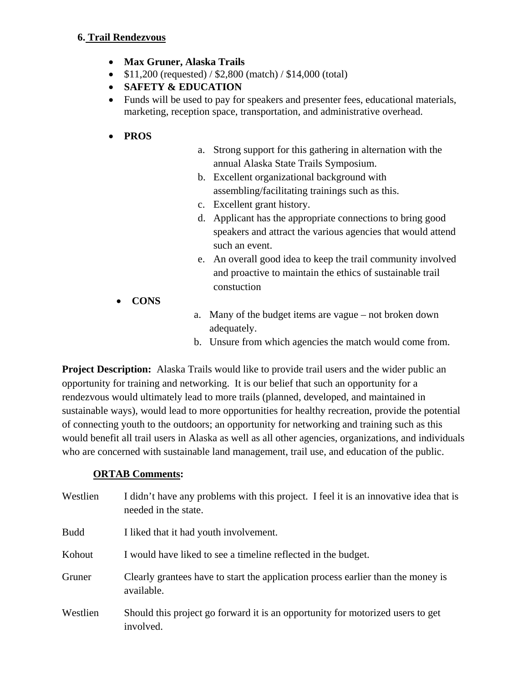#### **6. Trail Rendezvous**

- **Max Gruner, Alaska Trails**
- $\bullet$  \$11,200 (requested) / \$2,800 (match) / \$14,000 (total)
- **SAFETY & EDUCATION**
- Funds will be used to pay for speakers and presenter fees, educational materials, marketing, reception space, transportation, and administrative overhead.
- **PROS**
- a. Strong support for this gathering in alternation with the annual Alaska State Trails Symposium.
- b. Excellent organizational background with assembling/facilitating trainings such as this.
- c. Excellent grant history.
- d. Applicant has the appropriate connections to bring good speakers and attract the various agencies that would attend such an event.
- e. An overall good idea to keep the trail community involved and proactive to maintain the ethics of sustainable trail constuction
- **CONS**
- a. Many of the budget items are vague not broken down adequately.
- b. Unsure from which agencies the match would come from.

**Project Description:** Alaska Trails would like to provide trail users and the wider public an opportunity for training and networking. It is our belief that such an opportunity for a rendezvous would ultimately lead to more trails (planned, developed, and maintained in sustainable ways), would lead to more opportunities for healthy recreation, provide the potential of connecting youth to the outdoors; an opportunity for networking and training such as this would benefit all trail users in Alaska as well as all other agencies, organizations, and individuals who are concerned with sustainable land management, trail use, and education of the public.

| Westlien    | I didn't have any problems with this project. I feel it is an innovative idea that is<br>needed in the state. |
|-------------|---------------------------------------------------------------------------------------------------------------|
| <b>Budd</b> | I liked that it had youth involvement.                                                                        |
| Kohout      | I would have liked to see a timeline reflected in the budget.                                                 |
| Gruner      | Clearly grantees have to start the application process earlier than the money is<br>available.                |
| Westlien    | Should this project go forward it is an opportunity for motorized users to get<br>involved.                   |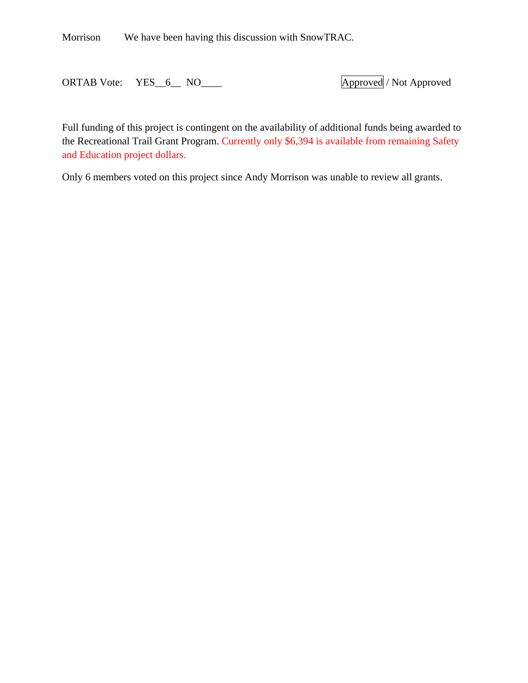Morrison We have been having this discussion with SnowTRAC.

ORTAB Vote: YES\_6\_ NO\_\_\_\_ Approved / Not Approved

Full funding of this project is contingent on the availability of additional funds being awarded to the Recreational Trail Grant Program. Currently only \$6,394 is available from remaining Safety and Education project dollars.

Only 6 members voted on this project since Andy Morrison was unable to review all grants.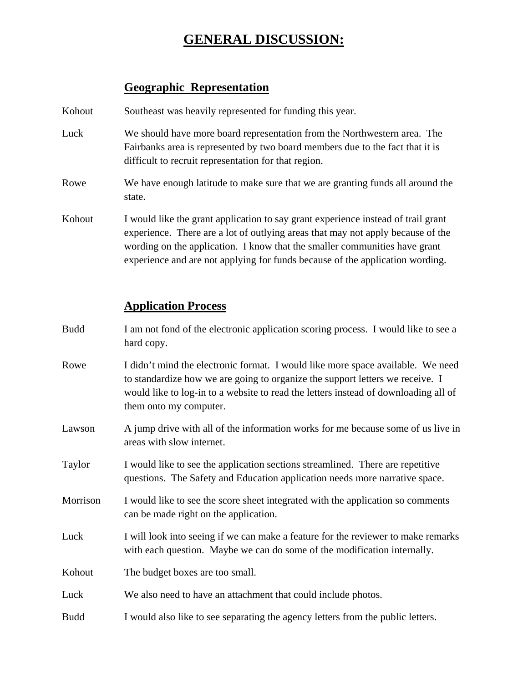# **GENERAL DISCUSSION:**

### **Geographic Representation**

Kohout Southeast was heavily represented for funding this year.

- Luck We should have more board representation from the Northwestern area. The Fairbanks area is represented by two board members due to the fact that it is difficult to recruit representation for that region.
- Rowe We have enough latitude to make sure that we are granting funds all around the state.
- Kohout I would like the grant application to say grant experience instead of trail grant experience. There are a lot of outlying areas that may not apply because of the wording on the application. I know that the smaller communities have grant experience and are not applying for funds because of the application wording.

### **Application Process**

- Budd I am not fond of the electronic application scoring process. I would like to see a hard copy.
- Rowe I didn't mind the electronic format. I would like more space available. We need to standardize how we are going to organize the support letters we receive. I would like to log-in to a website to read the letters instead of downloading all of them onto my computer.
- Lawson A jump drive with all of the information works for me because some of us live in areas with slow internet.
- Taylor I would like to see the application sections streamlined. There are repetitive questions. The Safety and Education application needs more narrative space.
- Morrison I would like to see the score sheet integrated with the application so comments can be made right on the application.
- Luck I will look into seeing if we can make a feature for the reviewer to make remarks with each question. Maybe we can do some of the modification internally.
- Kohout The budget boxes are too small.

Luck We also need to have an attachment that could include photos.

Budd I would also like to see separating the agency letters from the public letters.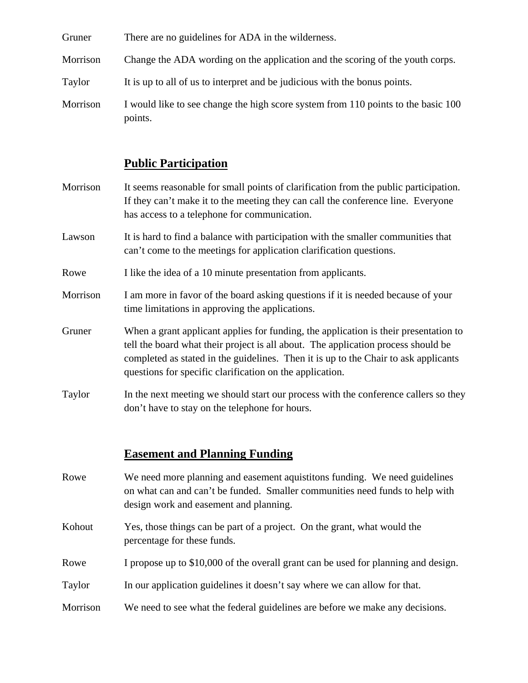| Gruner<br>There are no guidelines for ADA in the wilderness. |  |
|--------------------------------------------------------------|--|
|--------------------------------------------------------------|--|

- Morrison Change the ADA wording on the application and the scoring of the youth corps.
- Taylor It is up to all of us to interpret and be judicious with the bonus points.
- Morrison I would like to see change the high score system from 110 points to the basic 100 points.

### **Public Participation**

- Morrison It seems reasonable for small points of clarification from the public participation. If they can't make it to the meeting they can call the conference line. Everyone has access to a telephone for communication.
- Lawson It is hard to find a balance with participation with the smaller communities that can't come to the meetings for application clarification questions.
- Rowe I like the idea of a 10 minute presentation from applicants.
- Morrison I am more in favor of the board asking questions if it is needed because of your time limitations in approving the applications.
- Gruner When a grant applicant applies for funding, the application is their presentation to tell the board what their project is all about. The application process should be completed as stated in the guidelines. Then it is up to the Chair to ask applicants questions for specific clarification on the application.
- Taylor In the next meeting we should start our process with the conference callers so they don't have to stay on the telephone for hours.

### **Easement and Planning Funding**

- Rowe We need more planning and easement aquistitons funding. We need guidelines on what can and can't be funded. Smaller communities need funds to help with design work and easement and planning.
- Kohout Yes, those things can be part of a project. On the grant, what would the percentage for these funds.
- Rowe I propose up to \$10,000 of the overall grant can be used for planning and design.
- Taylor In our application guidelines it doesn't say where we can allow for that.
- Morrison We need to see what the federal guidelines are before we make any decisions.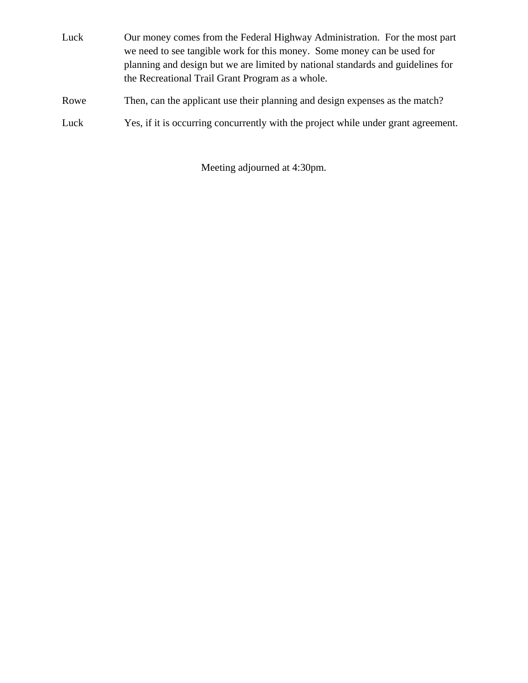- Luck Our money comes from the Federal Highway Administration. For the most part we need to see tangible work for this money. Some money can be used for planning and design but we are limited by national standards and guidelines for the Recreational Trail Grant Program as a whole.
- Rowe Then, can the applicant use their planning and design expenses as the match?
- Luck Yes, if it is occurring concurrently with the project while under grant agreement.

Meeting adjourned at 4:30pm.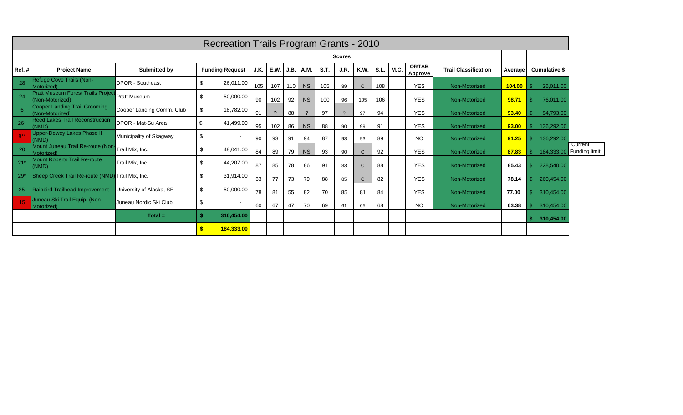|                 | Recreation Trails Program Grants - 2010                      |                           |    |                          |      |                |      |                       |      |      |              |             |      |                         |                             |         |                      |                          |
|-----------------|--------------------------------------------------------------|---------------------------|----|--------------------------|------|----------------|------|-----------------------|------|------|--------------|-------------|------|-------------------------|-----------------------------|---------|----------------------|--------------------------|
|                 | <b>Scores</b>                                                |                           |    |                          |      |                |      |                       |      |      |              |             |      |                         |                             |         |                      |                          |
| Ref.#           | <b>Project Name</b>                                          | Submitted by              |    | <b>Funding Request</b>   | J.K. | E.W.           | J.B. | A.M.                  | S.T. | J.R. | K.W.         | <b>S.L.</b> | M.C. | <b>ORTAB</b><br>Approve | <b>Trail Classification</b> | Average | <b>Cumulative \$</b> |                          |
| 28              | Refuge Cove Trails (Non-<br>Motorized)                       | <b>DPOR - Southeast</b>   | \$ | 26,011.00                | 105  | 107            | 110  | <b>NS</b>             | 105  | 89   | $\mathsf{C}$ | 108         |      | <b>YES</b>              | Non-Motorized               | 104.00  | 26,011.00            |                          |
| 24              | <b>Pratt Museum Forest Trails Project</b><br>(Non-Motorized) | <b>Pratt Museum</b>       | \$ | 50,000.00                | 90   | 102            | 92   | <b>NS</b>             | 100  | 96   | 105          | 106         |      | <b>YES</b>              | Non-Motorized               | 98.71   | 76,011.00            |                          |
| 6               | <b>Cooper Landing Trail Grooming</b><br>(Non-Motorized)      | Cooper Landing Comm. Club | \$ | 18,782.00                | 91   | $\overline{?}$ | 88   | $\boldsymbol{\gamma}$ | 97   |      | 97           | 94          |      | <b>YES</b>              | Non-Motorized               | 93.40   | 94,793.00            |                          |
| $26*$           | <b>Reed Lakes Trail Reconstruction</b><br>(NMD)              | DPOR - Mat-Su Area        | \$ | 41,499.00                | 95   | 102            | 86   | <b>NS</b>             | 88   | 90   | 99           | 91          |      | <b>YES</b>              | Non-Motorized               | 93.00   | 136,292.00           |                          |
| $8**$           | <b>Upper-Dewey Lakes Phase II</b><br>(NMD)                   | Municipality of Skagway   | \$ |                          | 90   | 93             | 91   | 94                    | 87   | 93   | 93           | 89          |      | <b>NO</b>               | Non-Motorized               | 91.25   | 136,292.00           |                          |
| 20              | Mount Juneau Trail Re-route (Non<br>Motorized)               | Trail Mix, Inc.           | \$ | 48,041.00                | 84   | 89             | 79   | <b>NS</b>             | 93   | 90   | $\mathsf{C}$ | 92          |      | <b>YES</b>              | Non-Motorized               | 87.83   | 184,333.00           | Current<br>Funding limit |
| $21*$           | Mount Roberts Trail Re-route<br>(NMD)                        | Trail Mix, Inc.           | \$ | 44,207.00                | 87   | 85             | 78   | 86                    | 91   | 83   | $\mathsf{C}$ | 88          |      | <b>YES</b>              | Non-Motorized               | 85.43   | 228,540.00           |                          |
| $29*$           | Sheep Creek Trail Re-route (NMD)                             | Trail Mix. Inc.           | \$ | 31,914.00                | 63   | 77             | 73   | 79                    | 88   | 85   | $\mathsf{C}$ | 82          |      | <b>YES</b>              | Non-Motorized               | 78.14   | 260,454.00           |                          |
| 25              | <b>Rainbird Trailhead Improvement</b>                        | University of Alaska, SE  | \$ | 50,000.00                | 78   | 81             | 55   | 82                    | 70   | 85   | 81           | 84          |      | <b>YES</b>              | Non-Motorized               | 77.00   | 310,454.00           |                          |
| 15 <sub>1</sub> | Juneau Ski Trail Equip. (Non-<br>Motorized)                  | Juneau Nordic Ski Club    | \$ | $\overline{\phantom{a}}$ | 60   | 67             | 47   | 70                    | 69   | 61   | 65           | 68          |      | <b>NO</b>               | Non-Motorized               | 63.38   | 310,454.00           |                          |
|                 |                                                              | $Total =$                 |    | 310,454.00               |      |                |      |                       |      |      |              |             |      |                         |                             |         | 310,454.00           |                          |
|                 |                                                              |                           |    | 184,333.00               |      |                |      |                       |      |      |              |             |      |                         |                             |         |                      |                          |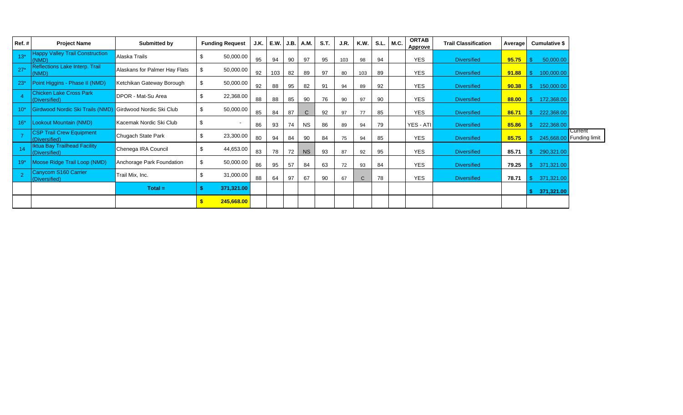| Ref.# | <b>Project Name</b>                                       | Submitted by                  |      | <b>Funding Request</b>   | J.K. | E.W. | J.B. | A.M          | S.T. | J.R. | <b>K.W.</b>  | <b>S.L.</b> | M.C. | <b>ORTAB</b><br>Approve | <b>Trail Classification</b> | Average | Cumulative \$ |                                 |
|-------|-----------------------------------------------------------|-------------------------------|------|--------------------------|------|------|------|--------------|------|------|--------------|-------------|------|-------------------------|-----------------------------|---------|---------------|---------------------------------|
| $13*$ | <b>Happy Valley Trail Construction</b><br>(NMD)           | Alaska Trails                 | \$.  | 50,000.00                | 95   | 94   | 90   | 97           | 95   | 103  | 98           | 94          |      | <b>YES</b>              | <b>Diversified</b>          | 95.75   | 50,000.00     |                                 |
| $27*$ | Reflections Lake Interp. Trail<br>(NMD)                   | Alaskans for Palmer Hay Flats | \$   | 50,000.00                | 92   | 103  | 82   | 89           | 97   | 80   | 103          | 89          |      | <b>YES</b>              | <b>Diversified</b>          | 91.88   | 100,000.00    |                                 |
| $23*$ | Point Higgins - Phase II (NMD)                            | Ketchikan Gateway Borough     | \$   | 50,000.00                | 92   | 88   | 95   | 82           | 91   | 94   | 89           | 92          |      | <b>YES</b>              | <b>Diversified</b>          | 90.38   | 150,000.00    |                                 |
|       | <b>Chicken Lake Cross Park</b><br>(Diversified)           | DPOR - Mat-Su Area            | - \$ | 22,368.00                | 88   | 88   | 85   | 90           | 76   | 90   | 97           | 90          |      | <b>YES</b>              | <b>Diversified</b>          | 88.00   | 172,368.00    |                                 |
| 10*   | Girdwood Nordic Ski Trails (NMD) Girdwood Nordic Ski Club |                               | \$   | 50,000.00                | 85   | 84   | 87   | $\mathsf{C}$ | 92   | 97   | 77           | 85          |      | <b>YES</b>              | <b>Diversified</b>          | 86.71   | 222,368.00    |                                 |
| $16*$ | Lookout Mountain (NMD)                                    | Kacemak Nordic Ski Club       | \$   | $\overline{\phantom{a}}$ | 86   | 93   | 74   | <b>NS</b>    | 86   | 89   | 94           | 79          |      | YES - ATI               | <b>Diversified</b>          | 85.86   | 222,368.00    |                                 |
|       | <b>CSP Trail Crew Equipment</b><br>(Diversified)          | Chugach State Park            | \$   | 23,300.00                | 80   | 94   | 84   | 90           | 84   | 75   | 94           | 85          |      | <b>YES</b>              | <b>Diversified</b>          | 85.75   | 245,668.00    | Current<br><b>Funding limit</b> |
| 14    | <b>Iktua Bay Trailhead Facility</b><br>(Diversified)      | Chenega IRA Council           |      | 44,653.00                | 83   | 78   | 72   | <b>NS</b>    | 93   | 87   | 92           | 95          |      | <b>YES</b>              | <b>Diversified</b>          | 85.71   | 290,321.00    |                                 |
| $19*$ | Moose Ridge Trail Loop (NMD)                              | Anchorage Park Foundation     |      | 50,000.00                | 86   | 95   | 57   | 84           | 63   | 72   | 93           | 84          |      | <b>YES</b>              | <b>Diversified</b>          | 79.25   | 371,321.00    |                                 |
|       | Canycom S160 Carrier<br>(Diversified)                     | Trail Mix, Inc.               | - \$ | 31,000.00                | 88   | 64   | 97   | 67           | 90   | 67   | $\mathsf{C}$ | 78          |      | <b>YES</b>              | <b>Diversified</b>          | 78.71   | 371,321.00    |                                 |
|       |                                                           | $Total =$                     |      | 371,321.00               |      |      |      |              |      |      |              |             |      |                         |                             |         | 371,321.00    |                                 |
|       |                                                           |                               |      | 245,668.00               |      |      |      |              |      |      |              |             |      |                         |                             |         |               |                                 |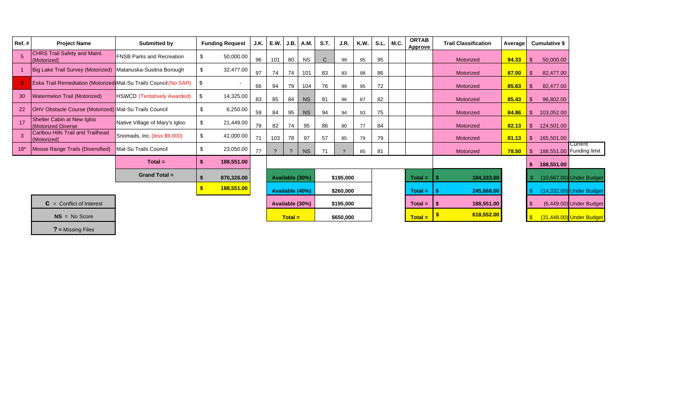| Ref.# | <b>Project Name</b>                                               | Submitted by                       |     | <b>Funding Request</b>   | J.K. | E.W. | J.B.            | A.M.      | <b>S.T.</b>  | J.R.      | K.W. |    | $S.L.$ M.C. | <b>ORTAB</b><br>Approve | <b>Trail Classification</b> | Average |      | <b>Cumulative \$</b> |                                     |
|-------|-------------------------------------------------------------------|------------------------------------|-----|--------------------------|------|------|-----------------|-----------|--------------|-----------|------|----|-------------|-------------------------|-----------------------------|---------|------|----------------------|-------------------------------------|
|       | <b>CHRS Trail Safety and Maint.</b><br>(Motorized)                | <b>FNSB Parks and Recreation</b>   | -\$ | 50,000.00                | 96   | 101  | 80              | <b>NS</b> | $\mathsf{C}$ | 99        | 95   | 95 |             |                         | Motorized                   | 94.33   |      | 50,000.00            |                                     |
|       | Big Lake Trail Survey (Motorized) Matanuska-Susitna Borough       |                                    | \$  | 32,477.00                | 97   | 74   | 74              | 101       | 83           | 83        | 98   | 86 |             |                         | Motorized                   | 87.00   |      | 82,477.00            |                                     |
|       | Eska Trail Remediation (Motorized) Mat-Su Trails Council (No SAR) |                                    | \$  | $\overline{\phantom{a}}$ | 66   | 94   | 79              | 104       | 76           | 99        | 95   | 72 |             |                         | Motorized                   | 85.63   |      | 82,477.00            |                                     |
| 30    | Watermelon Trail (Motorized)                                      | <b>HSWCD (Tentatively Awarded)</b> | \$  | 14,325.00                | 83   | 85   | 84              | <b>NS</b> | 81           | 96        | 87   | 82 |             |                         | Motorized                   | 85.43   |      | 96,802.00            |                                     |
| 22    | OHV Obstacle Course (Motorized) Mat-Su Trails Council             |                                    | -\$ | 6,250.00                 | 59   | 84   | 95              | <b>NS</b> | 94           | 94        | 93   | 75 |             |                         | Motorized                   | 84.86   |      | 103,052.00           |                                     |
| 17    | Shelter Cabin at New Igloo<br>(Motorized Diverse)                 | Native Village of Mary's Igloo     | -\$ | 21,449.00                | 79   | 82   | 74              | 95        | 86           | 80        | 77   | 84 |             |                         | Motorized                   | 82.13   | - \$ | 124,501.00           |                                     |
|       | Caribou Hills Trail and Trailhead<br>(Motorized)                  | Snomads, Inc. (less \$9,000)       | -\$ | 41,000.00                | 71   | 103  | 78              | 97        | 57           | 85        | 79   | 79 |             |                         | Motorized                   | 81.13   | -\$  | 165,501.00           |                                     |
| $18*$ | Moose Range Trails (Diversified)                                  | Mat-Su Trails Council              |     | 23,050.00                | 77   |      | $\mathcal{P}$   | <b>NS</b> | 7'           |           | 85   | 81 |             |                         | Motorized                   | 78.50   | -\$  |                      | Current<br>188,551.00 Funding limit |
|       |                                                                   | $Total =$                          | -5  | 188,551.00               |      |      |                 |           |              |           |      |    |             |                         |                             |         |      | 188,551.00           |                                     |
|       |                                                                   | <b>Grand Total =</b>               |     | 870,326.00               |      |      | Available (30%) |           |              | \$195,000 |      |    |             | $Total =$               | 184,333.00                  |         |      |                      | (10,667.00) Under Budget            |
|       |                                                                   |                                    |     | 188,551.00               |      |      | Available (40%) |           |              | \$260,000 |      |    |             | $Total =$               | 245,668.00                  |         |      |                      | (14,332.00) Under Budget            |
|       | $C =$ Conflict of Interest                                        |                                    |     |                          |      |      | Available (30%) |           |              | \$195,000 |      |    |             | $Total =$               | 188,551.00                  |         |      |                      | (6,449.00) Under Budget             |
|       | $NS = No Score$                                                   |                                    |     |                          |      |      | $Total =$       |           |              | \$650,000 |      |    |             | $Total =$               | 618,552.00                  |         | -\$  |                      | (31,448.00) Under Budget            |

**? =** Missing Files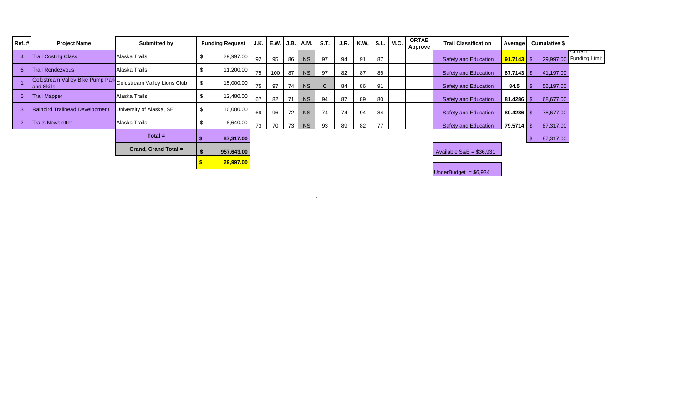| Ref.# | <b>Project Name</b>                            | Submitted by                 | <b>Funding Request</b> | J.K. | E.W.   J.B.   A.M. |    |           | S.T.         | J.R. | <b>K.W.</b> | S.L. M.C. | <b>ORTAB</b><br>Approve | <b>Trail Classification</b> | Average        | <b>Cumulative \$</b> |                                    |
|-------|------------------------------------------------|------------------------------|------------------------|------|--------------------|----|-----------|--------------|------|-------------|-----------|-------------------------|-----------------------------|----------------|----------------------|------------------------------------|
|       | <b>Trail Costing Class</b>                     | Alaska Trails                | 29,997.00              | 92   | 95                 | 86 | <b>NS</b> | 97           | 94   | 91          | 87        |                         | <b>Safety and Education</b> | $91.7143$ \$   |                      | Current<br>29,997.00 Funding Limit |
| 6     | <b>Trail Rendezvous</b>                        | Alaska Trails                | 11,200.00              | 75   | 100                | 87 | <b>NS</b> | 97           | 82   | 87          | 86        |                         | <b>Safety and Education</b> | $87.7143$ \$   | 41,197.00            |                                    |
|       | Goldstream Valley Bike Pump Park<br>and Skills | Goldstream Valley Lions Club | 15,000.00              | 75   | 97                 | 74 | <b>NS</b> | $\mathsf{C}$ | 84   | 86          | 91        |                         | <b>Safety and Education</b> | 84.5           | 56,197.00            |                                    |
|       | <b>Trail Mapper</b>                            | Alaska Trails                | 12,480.00              | 67   | 82                 | 71 | <b>NS</b> | 94           | 87   | 89          | 80        |                         | <b>Safety and Education</b> |                | 68,677.00            |                                    |
|       | Rainbird Trailhead Development                 | University of Alaska, SE     | 10,000.00              | 69   | 96                 | 72 | <b>NS</b> | 74           | 74   | 94          | 84        |                         | Safety and Education        | $80.4286$ \$   | 78,677.00            |                                    |
|       | <b>Trails Newsletter</b>                       | Alaska Trails                | 8,640.00               | 73   | 70                 | 73 | <b>NS</b> | 93           | 89   | 82          | 77        |                         | Safety and Education        | $79.5714$ \ \$ | 87,317.00            |                                    |
|       |                                                | $Total =$                    | 87,317.00              |      |                    |    |           |              |      |             |           |                         |                             |                | 87,317.00            |                                    |
|       |                                                | Grand, Grand Total =         | 957,643.00             |      |                    |    |           |              |      |             |           |                         | Available $SAE = $36,931$   |                |                      |                                    |
|       |                                                |                              | 29,997.00              |      |                    |    |           |              |      |             |           |                         |                             |                |                      |                                    |

 $\label{eq:1.1} \sum_{\mathbf{a} \in \mathcal{A}} \mathbb{E} \left[ \mathbf{a} \left( \mathbf{a} \right) \mathbf{a} \right] = \mathbb{E} \left[ \mathbf{a} \left( \mathbf{a} \right) \mathbf{a} \right] = \mathbb{E} \left[ \mathbf{a} \left( \mathbf{a} \right) \mathbf{a} \right] = \mathbb{E} \left[ \mathbf{a} \right]$ 

UnderBudget = \$6,934